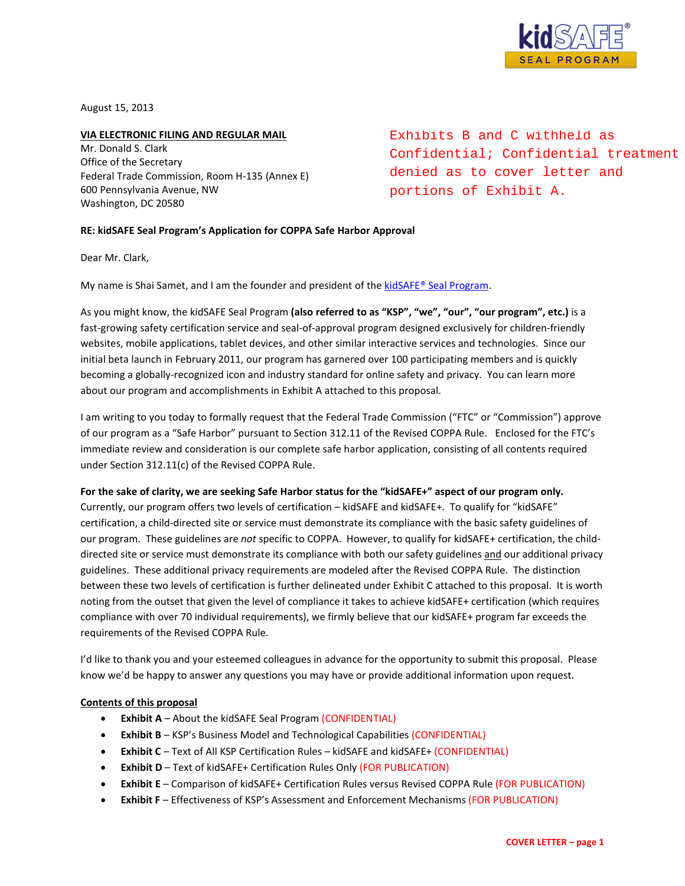

August 15, 2013

**VIA ELECTRONIC FILING AND REGULAR MAIL** Mr. Donald S. Clark Office of the Secretary Federal Trade Commission, Room H-135 (Annex E) 600 Pennsylvania Avenue, NW Washington, DC 20580

Exhibits B and C withheld as Confidential; Confidential treatment denied as to cover letter and portions of Exhibit A.

### **RE: kidSAFE Seal Program's Application for COPPA Safe Harbor Approval**

Dear Mr. Clark,

My name is Shai Samet, and I am the founder and president of the kidSAFE® [Seal Program.](http://www.kidsafeseal.com/)

As you might know, the kidSAFE Seal Program **(also referred to as "KSP", "we", "our", "our program", etc.)** is a fast-growing safety certification service and seal-of-approval program designed exclusively for children-friendly websites, mobile applications, tablet devices, and other similar interactive services and technologies. Since our initial beta launch in February 2011, our program has garnered over 100 participating members and is quickly becoming a globally-recognized icon and industry standard for online safety and privacy. You can learn more about our program and accomplishments in Exhibit A attached to this proposal.

I am writing to you today to formally request that the Federal Trade Commission ("FTC" or "Commission") approve of our program as a "Safe Harbor" pursuant to Section 312.11 of the Revised COPPA Rule. Enclosed for the FTC's immediate review and consideration is our complete safe harbor application, consisting of all contents required under Section 312.11(c) of the Revised COPPA Rule.

### **For the sake of clarity, we are seeking Safe Harbor status for the "kidSAFE+" aspect of our program only.**

Currently, our program offers two levels of certification – kidSAFE and kidSAFE+. To qualify for "kidSAFE" certification, a child-directed site or service must demonstrate its compliance with the basic safety guidelines of our program. These guidelines are *not* specific to COPPA. However, to qualify for kidSAFE+ certification, the childdirected site or service must demonstrate its compliance with both our safety guidelines and our additional privacy guidelines. These additional privacy requirements are modeled after the Revised COPPA Rule. The distinction between these two levels of certification is further delineated under Exhibit C attached to this proposal. It is worth noting from the outset that given the level of compliance it takes to achieve kidSAFE+ certification (which requires compliance with over 70 individual requirements), we firmly believe that our kidSAFE+ program far exceeds the requirements of the Revised COPPA Rule.

I'd like to thank you and your esteemed colleagues in advance for the opportunity to submit this proposal. Please know we'd be happy to answer any questions you may have or provide additional information upon request.

### **Contents of this proposal**

- **Exhibit A**  About the kidSAFE Seal Program (CONFIDENTIAL)
- **Exhibit B**  KSP's Business Model and Technological Capabilities (CONFIDENTIAL)
- **Exhibit C** Text of All KSP Certification Rules kidSAFE and kidSAFE+ (CONFIDENTIAL)
- **Exhibit D** Text of kidSAFE+ Certification Rules Only (FOR PUBLICATION)
- **Exhibit E**  Comparison of kidSAFE+ Certification Rules versus Revised COPPA Rule (FOR PUBLICATION)
- **Exhibit F**  Effectiveness of KSP's Assessment and Enforcement Mechanisms (FOR PUBLICATION)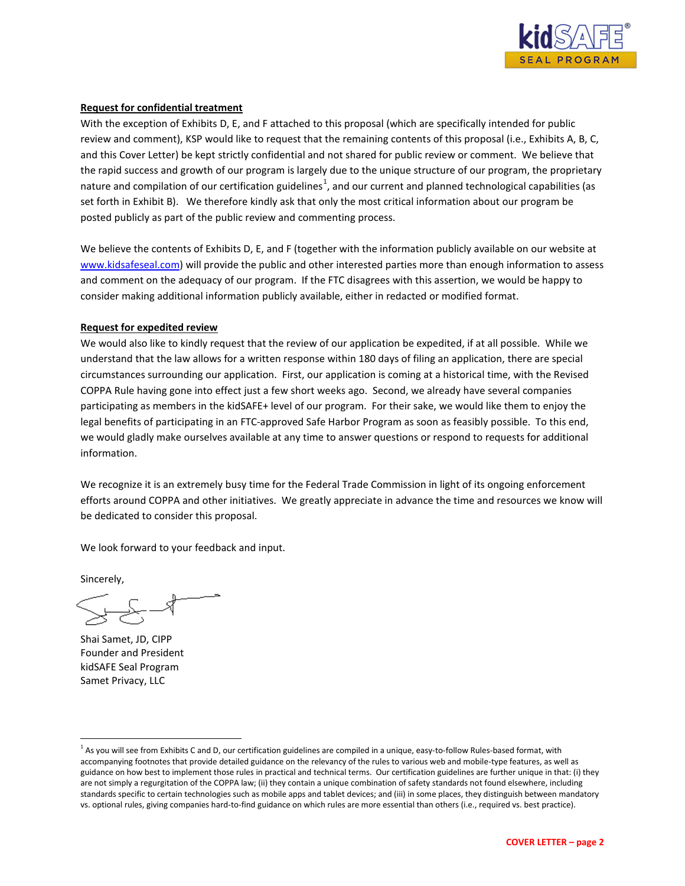

### **Request for confidential treatment**

With the exception of Exhibits D, E, and F attached to this proposal (which are specifically intended for public review and comment), KSP would like to request that the remaining contents of this proposal (i.e., Exhibits A, B, C, and this Cover Letter) be kept strictly confidential and not shared for public review or comment. We believe that the rapid success and growth of our program is largely due to the unique structure of our program, the proprietary nature and compilation of our certification guidelines<sup>[1](#page-1-0)</sup>, and our current and planned technological capabilities (as set forth in Exhibit B). We therefore kindly ask that only the most critical information about our program be posted publicly as part of the public review and commenting process.

We believe the contents of Exhibits D, E, and F (together with the information publicly available on our website at [www.kidsafeseal.com\)](http://www.kidsafeseal.com/) will provide the public and other interested parties more than enough information to assess and comment on the adequacy of our program. If the FTC disagrees with this assertion, we would be happy to consider making additional information publicly available, either in redacted or modified format.

### **Request for expedited review**

We would also like to kindly request that the review of our application be expedited, if at all possible. While we understand that the law allows for a written response within 180 days of filing an application, there are special circumstances surrounding our application. First, our application is coming at a historical time, with the Revised COPPA Rule having gone into effect just a few short weeks ago. Second, we already have several companies participating as members in the kidSAFE+ level of our program. For their sake, we would like them to enjoy the legal benefits of participating in an FTC-approved Safe Harbor Program as soon as feasibly possible. To this end, we would gladly make ourselves available at any time to answer questions or respond to requests for additional information.

We recognize it is an extremely busy time for the Federal Trade Commission in light of its ongoing enforcement efforts around COPPA and other initiatives. We greatly appreciate in advance the time and resources we know will be dedicated to consider this proposal.

We look forward to your feedback and input.

Sincerely,

Shai Samet, JD, CIPP Founder and President kidSAFE Seal Program Samet Privacy, LLC

<span id="page-1-0"></span> $<sup>1</sup>$  As you will see from Exhibits C and D, our certification guidelines are compiled in a unique, easy-to-follow Rules-based format, with</sup> accompanying footnotes that provide detailed guidance on the relevancy of the rules to various web and mobile-type features, as well as guidance on how best to implement those rules in practical and technical terms. Our certification guidelines are further unique in that: (i) they are not simply a regurgitation of the COPPA law; (ii) they contain a unique combination of safety standards not found elsewhere, including standards specific to certain technologies such as mobile apps and tablet devices; and (iii) in some places, they distinguish between mandatory vs. optional rules, giving companies hard-to-find guidance on which rules are more essential than others (i.e., required vs. best practice).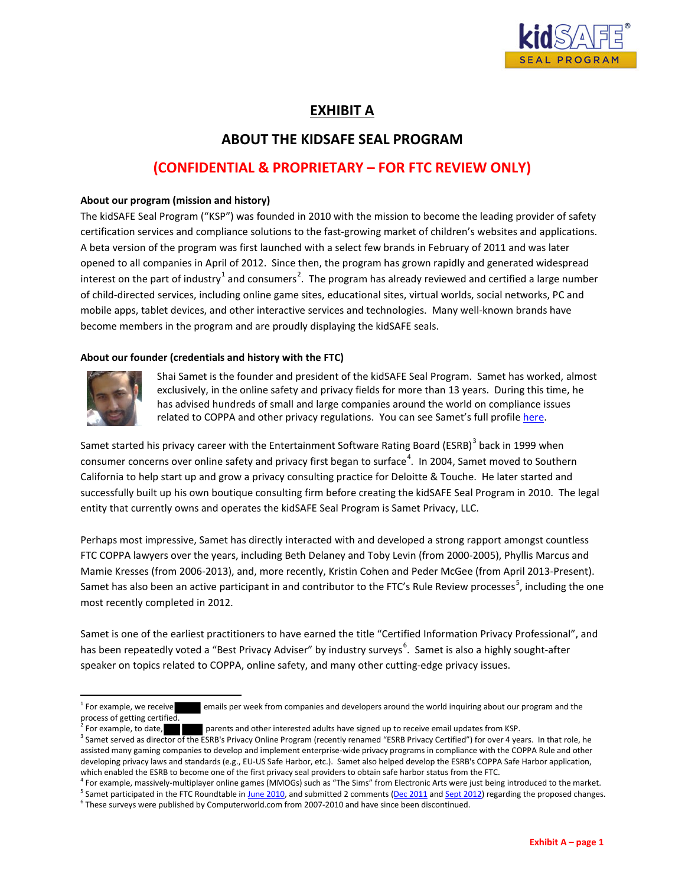

## **EXHIBIT A**

### **ABOUT THE KIDSAFE SEAL PROGRAM**

## **(CONFIDENTIAL & PROPRIETARY – FOR FTC REVIEW ONLY)**

### **About our program (mission and history)**

The kidSAFE Seal Program ("KSP") was founded in 2010 with the mission to become the leading provider of safety certification services and compliance solutions to the fast-growing market of children's websites and applications. A beta version of the program was first launched with a select few brands in February of 2011 and was later opened to all companies in April of 2012. Since then, the program has grown rapidly and generated widespread interest on the part of industry<sup>[1](#page-2-0)</sup> and consumers<sup>[2](#page-2-1)</sup>. The program has already reviewed and certified a large number of child-directed services, including online game sites, educational sites, virtual worlds, social networks, PC and mobile apps, tablet devices, and other interactive services and technologies. Many well-known brands have become members in the program and are proudly displaying the kidSAFE seals.

### **About our founder (credentials and history with the FTC)**



 $\overline{\phantom{a}}$ 

Shai Samet is the founder and president of the kidSAFE Seal Program. Samet has worked, almost exclusively, in the online safety and privacy fields for more than 13 years. During this time, he has advised hundreds of small and large companies around the world on compliance issues related to COPPA and other privacy regulations. You can see Samet's full profile here.

Samet started his privacy career with the Entertainment Software Rating Board (ESRB)<sup>[3](#page-2-2)</sup> back in 1999 when consumer concerns over online safety and privacy first began to surface<sup>[4](#page-2-3)</sup>. In 2004, Samet moved to Southern California to help start up and grow a privacy consulting practice for Deloitte & Touche. He later started and successfully built up his own boutique consulting firm before creating the kidSAFE Seal Program in 2010. The legal entity that currently owns and operates the kidSAFE Seal Program is Samet Privacy, LLC.

Perhaps most impressive, Samet has directly interacted with and developed a strong rapport amongst countless FTC COPPA lawyers over the years, including Beth Delaney and Toby Levin (from 2000-2005), Phyllis Marcus and Mamie Kresses (from 2006-2013), and, more recently, Kristin Cohen and Peder McGee (from April 2013-Present). Samet has also been an active participant in and contributor to the FTC's Rule Review processes<sup>[5](#page-2-4)</sup>, including the one most recently completed in 2012.

Samet is one of the earliest practitioners to have earned the title "Certified Information Privacy Professional", and has been repeatedly voted a "Best Privacy Adviser" by industry surveys<sup>[6](#page-2-5)</sup>. Samet is also a highly sought-after speaker on topics related to COPPA, online safety, and many other cutting-edge privacy issues.

<span id="page-2-0"></span><sup>&</sup>lt;sup>1</sup> For example, we receive emails per week from companies and developers around the world inquiring about our program and the Process of getting certified.<br>
Process of getting certified.<br>
Process of getting certified.<br>
Process of getting certified.<br>
Samet served as director of the ESRB's Privacy Online Program (recently renamed "ESRB Privacy Cert

<span id="page-2-2"></span><span id="page-2-1"></span>assisted many gaming companies to develop and implement enterprise-wide privacy programs in compliance with the COPPA Rule and other developing privacy laws and standards (e.g., EU-US Safe Harbor, etc.). Samet also helped develop the ESRB's COPPA Safe Harbor application,

which enabled the ESRB to become one of the first privacy seal providers to obtain safe harbor status from the FTC.<br><sup>4</sup> For example, massively-multiplayer online games (MMOGs) such as "The Sims" from Electronic Arts were j

<span id="page-2-5"></span><span id="page-2-4"></span><span id="page-2-3"></span>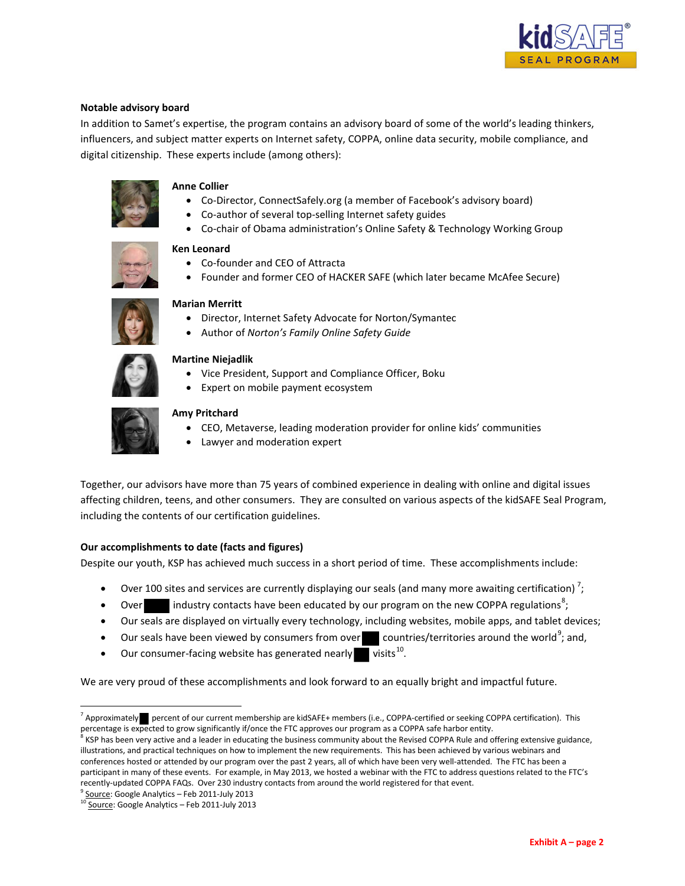

### **Notable advisory board**

In addition to Samet's expertise, the program contains an advisory board of some of the world's leading thinkers, influencers, and subject matter experts on Internet safety, COPPA, online data security, mobile compliance, and digital citizenship. These experts include (among others):



### **Anne Collier**

- Co-Director, ConnectSafely.org (a member of Facebook's advisory board)
- Co-author of several top-selling Internet safety guides
- Co-chair of Obama administration's Online Safety & Technology Working Group



### **Ken Leonard**

- Co-founder and CEO of Attracta
- Founder and former CEO of HACKER SAFE (which later became McAfee Secure)



### **Marian Merritt**

- Director, Internet Safety Advocate for Norton/Symantec
- Author of *Norton's Family Online Safety Guide*



### **Martine Niejadlik**

- Vice President, Support and Compliance Officer, Boku
- Expert on mobile payment ecosystem



### **Amy Pritchard**

- CEO, Metaverse, leading moderation provider for online kids' communities
- Lawyer and moderation expert

Together, our advisors have more than 75 years of combined experience in dealing with online and digital issues affecting children, teens, and other consumers. They are consulted on various aspects of the kidSAFE Seal Program, including the contents of our certification guidelines.

### **Our accomplishments to date (facts and figures)**

Despite our youth, KSP has achieved much success in a short period of time. These accomplishments include:

- Over 100 sites and services are currently displaying our seals (and many more awaiting certification)<sup>[7](#page-3-0)</sup>;
- Over industry contacts have been educated by our program on the new COPPA regulations<sup>[8](#page-3-1)</sup>;
- Our seals are displayed on virtually every technology, including websites, mobile apps, and tablet devices;
- Our seals have been viewed by consumers from over countries/territories around the world<sup>[9](#page-3-2)</sup>; and,
- Our consumer-facing website has generated nearly visits<sup>10</sup>.

We are very proud of these accomplishments and look forward to an equally bright and impactful future.

l

<span id="page-3-0"></span> $^7$  Approximately percent of our current membership are kidSAFE+ members (i.e., COPPA-certified or seeking COPPA certification). This percentage is expected to grow significantly if/once the FTC approves our program as a COPPA safe harbor entity.<br><sup>8</sup> KSP has been very active and a leader in educating the business community about the Revised COPPA Rule an

<span id="page-3-1"></span>illustrations, and practical techniques on how to implement the new requirements. This has been achieved by various webinars and conferences hosted or attended by our program over the past 2 years, all of which have been very well-attended. The FTC has been a participant in many of these events. For example, in May 2013, we hosted a webinar with the FTC to address questions related to the FTC's recently-updated COPPA FAQs. Over 230 industry contacts from around the world registered for that event.<br><sup>9</sup> <u>Source</u>: Google Analytics – Feb 2011-July 2013<br><sup>10</sup> <u>Source</u>: Google Analytics – Feb 2011-July 2013

<span id="page-3-3"></span><span id="page-3-2"></span>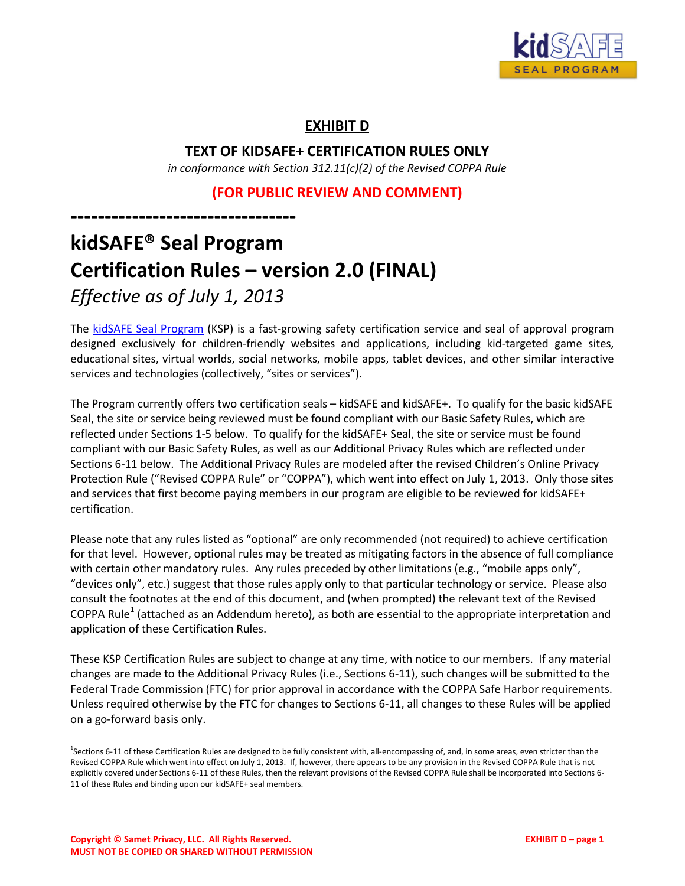

# **EXHIBIT D**

**TEXT OF KIDSAFE+ CERTIFICATION RULES ONLY** *in conformance with Section 312.11(c)(2) of the Revised COPPA Rule*

# **(FOR PUBLIC REVIEW AND COMMENT)**

**---------------------------------**

# **kidSAFE® Seal Program Certification Rules – version 2.0 (FINAL)** *Effective as of July 1, 2013*

The [kidSAFE Seal Program](http://www.kidsafeseal.com/) (KSP) is a fast-growing safety certification service and seal of approval program designed exclusively for children-friendly websites and applications, including kid-targeted game sites, educational sites, virtual worlds, social networks, mobile apps, tablet devices, and other similar interactive services and technologies (collectively, "sites or services").

The Program currently offers two certification seals – kidSAFE and kidSAFE+. To qualify for the basic kidSAFE Seal, the site or service being reviewed must be found compliant with our Basic Safety Rules, which are reflected under Sections 1-5 below. To qualify for the kidSAFE+ Seal, the site or service must be found compliant with our Basic Safety Rules, as well as our Additional Privacy Rules which are reflected under Sections 6-11 below. The Additional Privacy Rules are modeled after the revised Children's Online Privacy Protection Rule ("Revised COPPA Rule" or "COPPA"), which went into effect on July 1, 2013. Only those sites and services that first become paying members in our program are eligible to be reviewed for kidSAFE+ certification.

Please note that any rules listed as "optional" are only recommended (not required) to achieve certification for that level. However, optional rules may be treated as mitigating factors in the absence of full compliance with certain other mandatory rules. Any rules preceded by other limitations (e.g., "mobile apps only", "devices only", etc.) suggest that those rules apply only to that particular technology or service. Please also consult the footnotes at the end of this document, and (when prompted) the relevant text of the Revised COPPA Rule<sup>[1](#page-4-0)</sup> (attached as an Addendum hereto), as both are essential to the appropriate interpretation and application of these Certification Rules.

These KSP Certification Rules are subject to change at any time, with notice to our members. If any material changes are made to the Additional Privacy Rules (i.e., Sections 6-11), such changes will be submitted to the Federal Trade Commission (FTC) for prior approval in accordance with the COPPA Safe Harbor requirements. Unless required otherwise by the FTC for changes to Sections 6-11, all changes to these Rules will be applied on a go-forward basis only.

<span id="page-4-0"></span> $\frac{1}{1}$ <sup>1</sup>Sections 6-11 of these Certification Rules are designed to be fully consistent with, all-encompassing of, and, in some areas, even stricter than the Revised COPPA Rule which went into effect on July 1, 2013. If, however, there appears to be any provision in the Revised COPPA Rule that is not explicitly covered under Sections 6-11 of these Rules, then the relevant provisions of the Revised COPPA Rule shall be incorporated into Sections 6- 11 of these Rules and binding upon our kidSAFE+ seal members.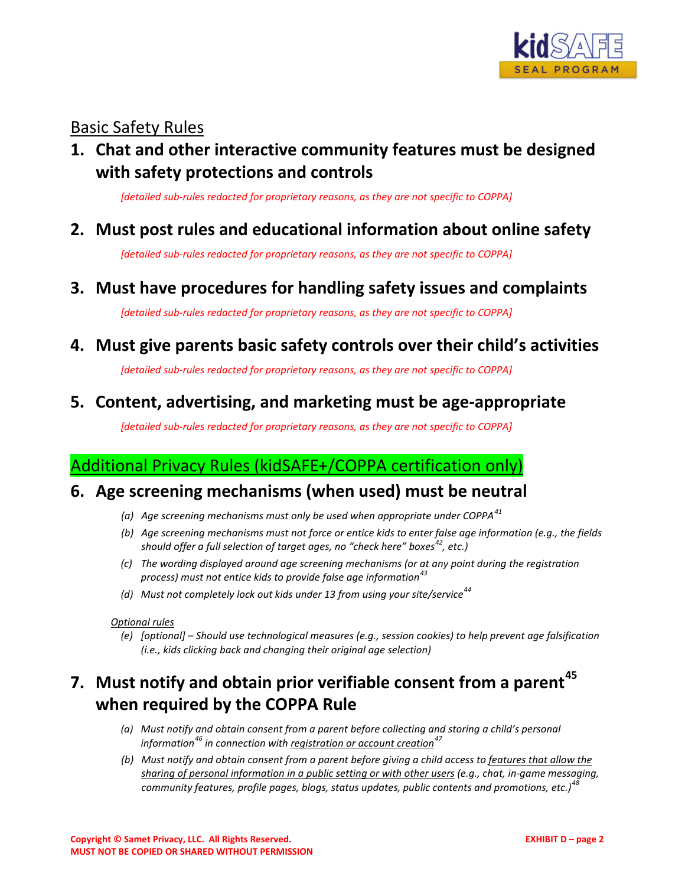

# Basic Safety Rules

**1. Chat and other interactive community features must be designed with safety protections and controls**

*[detailed sub-rules redacted for proprietary reasons, as they are not specific to COPPA]*

**2. Must post rules and educational information about online safety**

*[detailed sub-rules redacted for proprietary reasons, as they are not specific to COPPA]*

# **3. Must have procedures for handling safety issues and complaints**

*[detailed sub-rules redacted for proprietary reasons, as they are not specific to COPPA]*

**4. Must give parents basic safety controls over their child's activities**

*[detailed sub-rules redacted for proprietary reasons, as they are not specific to COPPA]*

**5. Content, advertising, and marketing must be age-appropriate**

*[detailed sub-rules redacted for proprietary reasons, as they are not specific to COPPA]*

# Additional Privacy Rules (kidSAFE+/COPPA certification only)

# **6. Age screening mechanisms (when used) must be neutral**

- *(a) Age screening mechanisms must only be used when appropriate under COPPA[41](#page-8-0)*
- *(b) Age screening mechanisms must not force or entice kids to enter false age information (e.g., the fields should offer a full selection of target ages, no "check here" boxes[42,](#page-8-1) etc.)*
- *(c) The wording displayed around age screening mechanisms (or at any point during the registration process) must not entice kids to provide false age information[43](#page-8-2)*
- *(d) Must not completely lock out kids under 13 from using your site/service[44](#page-8-3)*

*Optional rules*

*(e) [optional] – Should use technological measures (e.g., session cookies) to help prevent age falsification (i.e., kids clicking back and changing their original age selection)*

# **7. Must notify and obtain prior verifiable consent from a parent[45](#page-8-4) when required by the COPPA Rule**

- *(a) Must notify and obtain consent from a parent before collecting and storing a child's personal information[46](#page-8-5) in connection with registration or account creation[47](#page-8-6)*
- *(b) Must notify and obtain consent from a parent before giving a child access to features that allow the sharing of personal information in a public setting or with other users (e.g., chat, in-game messaging, community features, profile pages, blogs, status updates, public contents and promotions, etc.)[48](#page-8-7)*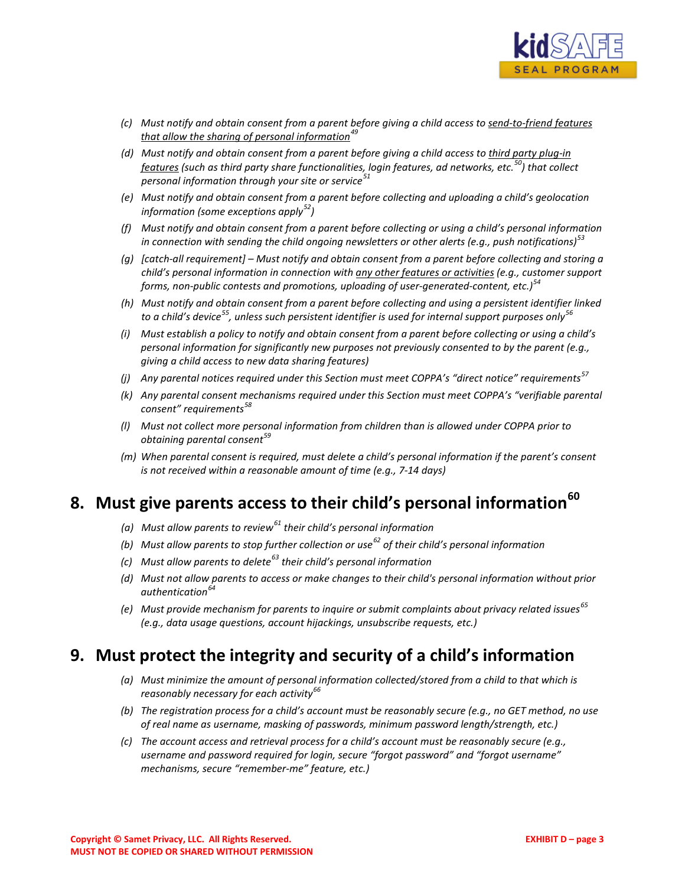

- *(c) Must notify and obtain consent from a parent before giving a child access to send-to-friend features that allow the sharing of personal information[49](#page-9-0)*
- *(d) Must notify and obtain consent from a parent before giving a child access to third party plug-in features (such as third party share functionalities, login features, ad networks, etc. [50](#page-9-1)) that collect personal information through your site or service[51](#page-9-2)*
- *(e) Must notify and obtain consent from a parent before collecting and uploading a child's geolocation information (some exceptions apply[52](#page-9-3))*
- *(f) Must notify and obtain consent from a parent before collecting or using a child's personal information in connection with sending the child ongoing newsletters or other alerts (e.g., push notifications)[53](#page-9-4)*
- *(g) [catch-all requirement] – Must notify and obtain consent from a parent before collecting and storing a child's personal information in connection with any other features or activities (e.g., customer support forms, non-public contests and promotions, uploading of user-generated-content, etc.)[54](#page-9-5)*
- *(h) Must notify and obtain consent from a parent before collecting and using a persistent identifier linked to a child's device[55,](#page-9-6) unless such persistent identifier is used for internal support purposes only[56](#page-9-7)*
- *(i) Must establish a policy to notify and obtain consent from a parent before collecting or using a child's personal information for significantly new purposes not previously consented to by the parent (e.g., giving a child access to new data sharing features)*
- *(j) Any parental notices required under this Section must meet COPPA's "direct notice" requirements [57](#page-9-8)*
- *(k) Any parental consent mechanisms required under this Section must meet COPPA's "verifiable parental consent" requirements[58](#page-9-9)*
- *(l) Must not collect more personal information from children than is allowed under COPPA prior to obtaining parental consent[59](#page-9-10)*
- *(m) When parental consent is required, must delete a child's personal information if the parent's consent is not received within a reasonable amount of time (e.g., 7-14 days)*

# **8. Must give parents access to their child's personal information[60](#page-9-11)**

- *(a) Must allow parents to review[61](#page-9-12) their child's personal information*
- *(b) Must allow parents to stop further collection or use[62](#page-9-13) of their child's personal information*
- *(c) Must allow parents to delete[63](#page-9-14) their child's personal information*
- *(d) Must not allow parents to access or make changes to their child's personal information without prior authentication[64](#page-9-15)*
- *(e) Must provide mechanism for parents to inquire or submit complaints about privacy related issues[65](#page-9-16) (e.g., data usage questions, account hijackings, unsubscribe requests, etc.)*

# **9. Must protect the integrity and security of a child's information**

- *(a) Must minimize the amount of personal information collected/stored from a child to that which is reasonably necessary for each activity[66](#page-9-17)*
- *(b) The registration process for a child's account must be reasonably secure (e.g., no GET method, no use of real name as username, masking of passwords, minimum password length/strength, etc.)*
- *(c) The account access and retrieval process for a child's account must be reasonably secure (e.g., username and password required for login, secure "forgot password" and "forgot username" mechanisms, secure "remember-me" feature, etc.)*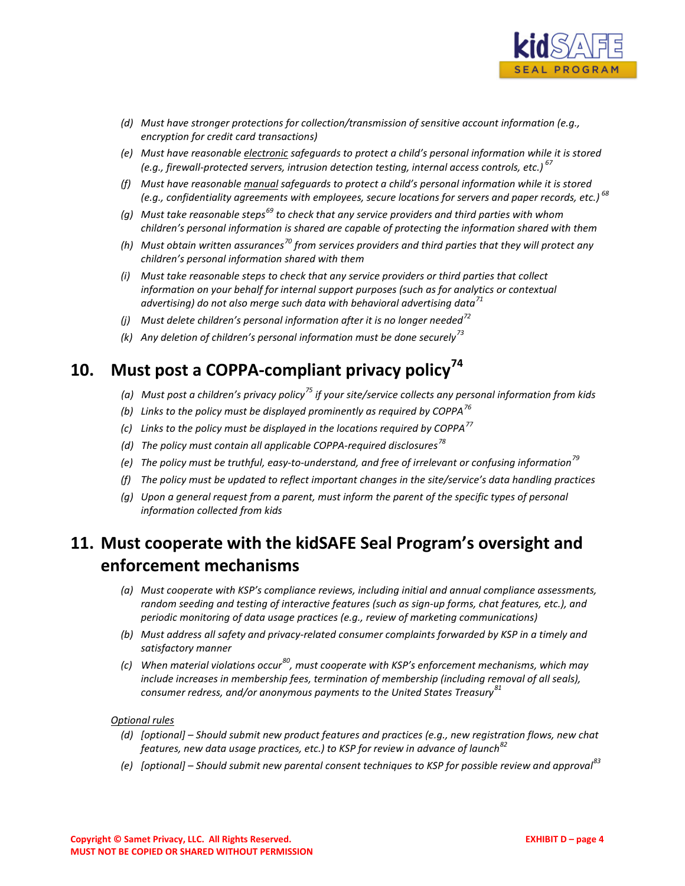

- *(d) Must have stronger protections for collection/transmission of sensitive account information (e.g., encryption for credit card transactions)*
- *(e) Must have reasonable electronic safeguards to protect a child's personal information while it is stored (e.g., firewall-protected servers, intrusion detection testing, internal access controls, etc.) [67](#page-10-0)*
- *(f) Must have reasonable manual safeguards to protect a child's personal information while it is stored (e.g., confidentiality agreements with employees, secure locations for servers and paper records, etc.) [68](#page-10-1)*
- *(g) Must take reasonable steps[69](#page-10-2) to check that any service providers and third parties with whom children's personal information is shared are capable of protecting the information shared with them*
- *(h) Must obtain written assurances[70](#page-10-3) from services providers and third parties that they will protect any children's personal information shared with them*
- *(i) Must take reasonable steps to check that any service providers or third parties that collect information on your behalf for internal support purposes (such as for analytics or contextual advertising) do not also merge such data with behavioral advertising data[71](#page-10-4)*
- *(j) Must delete children's personal information after it is no longer needed[72](#page-10-5)*
- *(k) Any deletion of children's personal information must be done securely[73](#page-10-6)*

# **10. Must post a COPPA-compliant privacy policy[74](#page-10-7)**

- *(a) Must post a children's privacy policy[75](#page-10-8) if your site/service collects any personal information from kids*
- *(b) Links to the policy must be displayed prominently as required by COPPA[76](#page-10-9)*
- *(c) Links to the policy must be displayed in the locations required by COPPA[77](#page-10-10)*
- *(d) The policy must contain all applicable COPPA-required disclosures[78](#page-10-11)*
- *(e) The policy must be truthful, easy-to-understand, and free of irrelevant or confusing information[79](#page-10-12)*
- *(f) The policy must be updated to reflect important changes in the site/service's data handling practices*
- *(g) Upon a general request from a parent, must inform the parent of the specific types of personal information collected from kids*

# **11. Must cooperate with the kidSAFE Seal Program's oversight and enforcement mechanisms**

- *(a) Must cooperate with KSP's compliance reviews, including initial and annual compliance assessments, random seeding and testing of interactive features (such as sign-up forms, chat features, etc.), and periodic monitoring of data usage practices (e.g., review of marketing communications)*
- *(b) Must address all safety and privacy-related consumer complaints forwarded by KSP in a timely and satisfactory manner*
- *(c) When material violations occur[80](#page-10-13), must cooperate with KSP's enforcement mechanisms, which may include increases in membership fees, termination of membership (including removal of all seals), consumer redress, and/or anonymous payments to the United States Treasury[81](#page-10-14)*

### *Optional rules*

- *(d) [optional] – Should submit new product features and practices (e.g., new registration flows, new chat features, new data usage practices, etc.) to KSP for review in advance of launch[82](#page-10-15)*
- *(e) [optional] – Should submit new parental consent techniques to KSP for possible review and approval[83](#page-10-16)*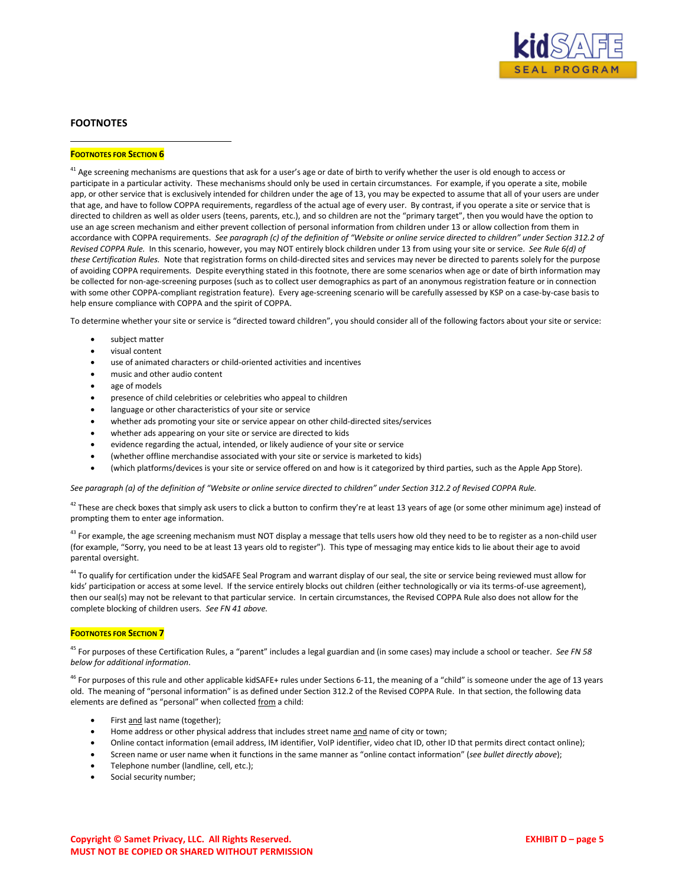

### **FOOTNOTES**

l

### <span id="page-8-0"></span>**FOOTNOTES FOR SECTION 6**

<span id="page-8-6"></span> $41$  Age screening mechanisms are questions that ask for a user's age or date of birth to verify whether the user is old enough to access or participate in a particular activity. These mechanisms should only be used in certain circumstances. For example, if you operate a site, mobile app, or other service that is exclusively intended for children under the age of 13, you may be expected to assume that all of your users are under that age, and have to follow COPPA requirements, regardless of the actual age of every user. By contrast, if you operate a site or service that is directed to children as well as older users (teens, parents, etc.), and so children are not the "primary target", then you would have the option to use an age screen mechanism and either prevent collection of personal information from children under 13 or allow collection from them in accordance with COPPA requirements. *See paragraph (c) of the definition of "Website or online service directed to children" under Section 312.2 of Revised COPPA Rule.* In this scenario, however, you may NOT entirely block children under 13 from using your site or service. *See Rule 6(d) of these Certification Rules.* Note that registration forms on child-directed sites and services may never be directed to parents solely for the purpose of avoiding COPPA requirements. Despite everything stated in this footnote, there are some scenarios when age or date of birth information may be collected for non-age-screening purposes (such as to collect user demographics as part of an anonymous registration feature or in connection with some other COPPA-compliant registration feature). Every age-screening scenario will be carefully assessed by KSP on a case-by-case basis to help ensure compliance with COPPA and the spirit of COPPA.

<span id="page-8-7"></span>To determine whether your site or service is "directed toward children", you should consider all of the following factors about your site or service:

- subject matter
- visual content
- use of animated characters or child-oriented activities and incentives
- music and other audio content
- age of models
- presence of child celebrities or celebrities who appeal to children
- language or other characteristics of your site or service
- whether ads promoting your site or service appear on other child-directed sites/services
- whether ads appearing on your site or service are directed to kids
- evidence regarding the actual, intended, or likely audience of your site or service
- (whether offline merchandise associated with your site or service is marketed to kids)
- (which platforms/devices is your site or service offered on and how is it categorized by third parties, such as the Apple App Store).

*See paragraph (a) of the definition of "Website or online service directed to children" under Section 312.2 of Revised COPPA Rule.*

<span id="page-8-1"></span> $42$  These are check boxes that simply ask users to click a button to confirm they're at least 13 years of age (or some other minimum age) instead of prompting them to enter age information.

<span id="page-8-2"></span> $43$  For example, the age screening mechanism must NOT display a message that tells users how old they need to be to register as a non-child user (for example, "Sorry, you need to be at least 13 years old to register"). This type of messaging may entice kids to lie about their age to avoid parental oversight.

<span id="page-8-3"></span><sup>44</sup> To qualify for certification under the kidSAFE Seal Program and warrant display of our seal, the site or service being reviewed must allow for kids' participation or access at some level. If the service entirely blocks out children (either technologically or via its terms-of-use agreement), then our seal(s) may not be relevant to that particular service. In certain circumstances, the Revised COPPA Rule also does not allow for the complete blocking of children users. *See FN 41 above.* 

### **FOOTNOTES FOR SECTION 7**

<span id="page-8-4"></span><sup>45</sup> For purposes of these Certification Rules, a "parent" includes a legal guardian and (in some cases) may include a school or teacher. *See FN 58 below for additional information*.

<span id="page-8-5"></span> $46$  For purposes of this rule and other applicable kidSAFE+ rules under Sections 6-11, the meaning of a "child" is someone under the age of 13 years old. The meaning of "personal information" is as defined under Section 312.2 of the Revised COPPA Rule. In that section, the following data elements are defined as "personal" when collected from a child:

- First and last name (together);
- Home address or other physical address that includes street name and name of city or town;
- Online contact information (email address, IM identifier, VoIP identifier, video chat ID, other ID that permits direct contact online);
- Screen name or user name when it functions in the same manner as "online contact information" (*see bullet directly above*);
- Telephone number (landline, cell, etc.);
- Social security number;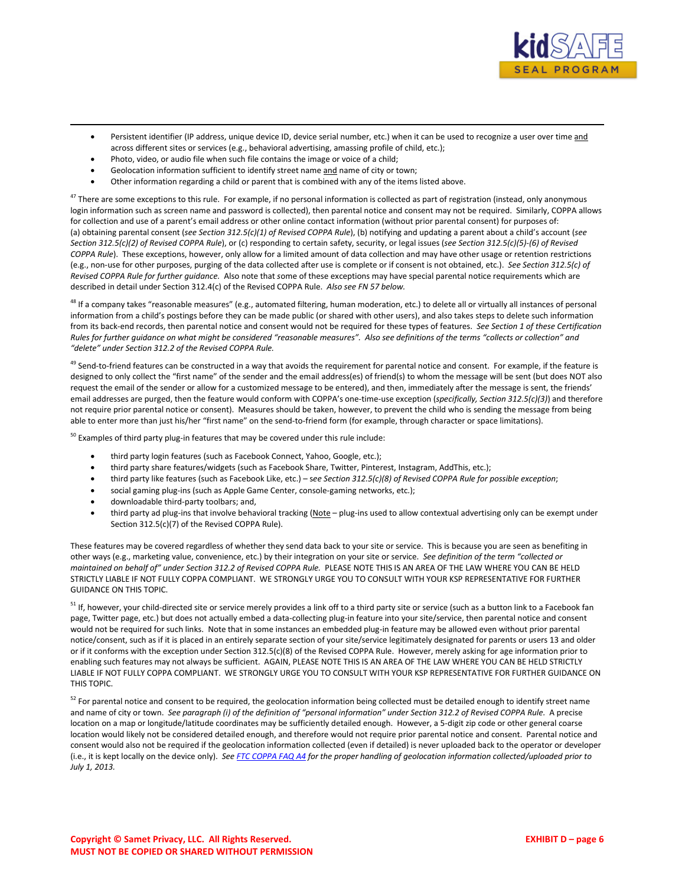

- Persistent identifier (IP address, unique device ID, device serial number, etc.) when it can be used to recognize a user over time and across different sites or services (e.g., behavioral advertising, amassing profile of child, etc.);
- Photo, video, or audio file when such file contains the image or voice of a child;
- Geolocation information sufficient to identify street name and name of city or town;
- Other information regarding a child or parent that is combined with any of the items listed above.

<span id="page-9-10"></span><span id="page-9-5"></span> $47$  There are some exceptions to this rule. For example, if no personal information is collected as part of registration (instead, only anonymous login information such as screen name and password is collected), then parental notice and consent may not be required. Similarly, COPPA allows for collection and use of a parent's email address or other online contact information (without prior parental consent) for purposes of: (a) obtaining parental consent (*see Section 312.5(c)(1) of Revised COPPA Rule*), (b) notifying and updating a parent about a child's account (*see Section 312.5(c)(2) of Revised COPPA Rule*), or (c) responding to certain safety, security, or legal issues (*see Section 312.5(c)(5)-(6) of Revised COPPA Rule*). These exceptions, however, only allow for a limited amount of data collection and may have other usage or retention restrictions (e.g., non-use for other purposes, purging of the data collected after use is complete or if consent is not obtained, etc.). *See Section 312.5(c) of Revised COPPA Rule for further guidance.* Also note that *s*ome of these exceptions may have special parental notice requirements which are described in detail under Section 312.4(c) of the Revised COPPA Rule. *Also see FN 57 below.* 

<span id="page-9-11"></span><span id="page-9-7"></span><span id="page-9-6"></span><sup>48</sup> If a company takes "reasonable measures" (e.g., automated filtering, human moderation, etc.) to delete all or virtually all instances of personal information from a child's postings before they can be made public (or shared with other users), and also takes steps to delete such information from its back-end records, then parental notice and consent would not be required for these types of features. *See Section 1 of these Certification Rules for further guidance on what might be considered "reasonable measures". Also see definitions of the terms "collects or collection" and "delete" under Section 312.2 of the Revised COPPA Rule.* 

<span id="page-9-13"></span><span id="page-9-12"></span><span id="page-9-0"></span><sup>49</sup> Send-to-friend features can be constructed in a way that avoids the requirement for parental notice and consent. For example, if the feature is designed to only collect the "first name" of the sender and the email address(es) of friend(s) to whom the message will be sent (but does NOT also request the email of the sender or allow for a customized message to be entered), and then, immediately after the message is sent, the friends' email addresses are purged, then the feature would conform with COPPA's one-time-use exception (*specifically, Section 312.5(c)(3)*) and therefore not require prior parental notice or consent). Measures should be taken, however, to prevent the child who is sending the message from being able to enter more than just his/her "first name" on the send-to-friend form (for example, through character or space limitations).

<span id="page-9-15"></span><span id="page-9-14"></span><span id="page-9-1"></span> $50$  Examples of third party plug-in features that may be covered under this rule include:

- third party login features (such as Facebook Connect, Yahoo, Google, etc.);
- third party share features/widgets (such as Facebook Share, Twitter, Pinterest, Instagram, AddThis, etc.);
- third party like features (such as Facebook Like, etc.) s*ee Section 312.5(c)(8) of Revised COPPA Rule for possible exception*;
- social gaming plug-ins (such as Apple Game Center, console-gaming networks, etc.);
- downloadable third-party toolbars; and,

<span id="page-9-4"></span> $\overline{\phantom{a}}$ 

third party ad plug-ins that involve behavioral tracking (Note – plug-ins used to allow contextual advertising only can be exempt under Section 312.5(c)(7) of the Revised COPPA Rule).

<span id="page-9-16"></span><span id="page-9-9"></span><span id="page-9-8"></span>These features may be covered regardless of whether they send data back to your site or service. This is because you are seen as benefiting in other ways (e.g., marketing value, convenience, etc.) by their integration on your site or service. *See definition of the term "collected or maintained on behalf of" under Section 312.2 of Revised COPPA Rule.* PLEASE NOTE THIS IS AN AREA OF THE LAW WHERE YOU CAN BE HELD STRICTLY LIABLE IF NOT FULLY COPPA COMPLIANT. WE STRONGLY URGE YOU TO CONSULT WITH YOUR KSP REPRESENTATIVE FOR FURTHER GUIDANCE ON THIS TOPIC.

<span id="page-9-17"></span><span id="page-9-2"></span><sup>51</sup> If, however, your child-directed site or service merely provides a link off to a third party site or service (such as a button link to a Facebook fan page, Twitter page, etc.) but does not actually embed a data-collecting plug-in feature into your site/service, then parental notice and consent would not be required for such links. Note that in some instances an embedded plug-in feature may be allowed even without prior parental notice/consent, such as if it is placed in an entirely separate section of your site/service legitimately designated for parents or users 13 and older or if it conforms with the exception under Section 312.5(c)(8) of the Revised COPPA Rule. However, merely asking for age information prior to enabling such features may not always be sufficient. AGAIN, PLEASE NOTE THIS IS AN AREA OF THE LAW WHERE YOU CAN BE HELD STRICTLY LIABLE IF NOT FULLY COPPA COMPLIANT. WE STRONGLY URGE YOU TO CONSULT WITH YOUR KSP REPRESENTATIVE FOR FURTHER GUIDANCE ON THIS TOPIC.

<span id="page-9-3"></span><sup>52</sup> For parental notice and consent to be required, the geolocation information being collected must be detailed enough to identify street name and name of city or town. *See paragraph (i) of the definition of "personal information" under Section 312.2 of Revised COPPA Rule.* A precise location on a map or longitude/latitude coordinates may be sufficiently detailed enough. However, a 5-digit zip code or other general coarse location would likely not be considered detailed enough, and therefore would not require prior parental notice and consent. Parental notice and consent would also not be required if the geolocation information collected (even if detailed) is never uploaded back to the operator or developer (i.e., it is kept locally on the device only). *Se[e FTC COPPA FAQ A4](http://business.ftc.gov/documents/Complying-with-COPPA-Frequently-Asked-Questions) for the proper handling of geolocation information collected/uploaded prior to July 1, 2013.*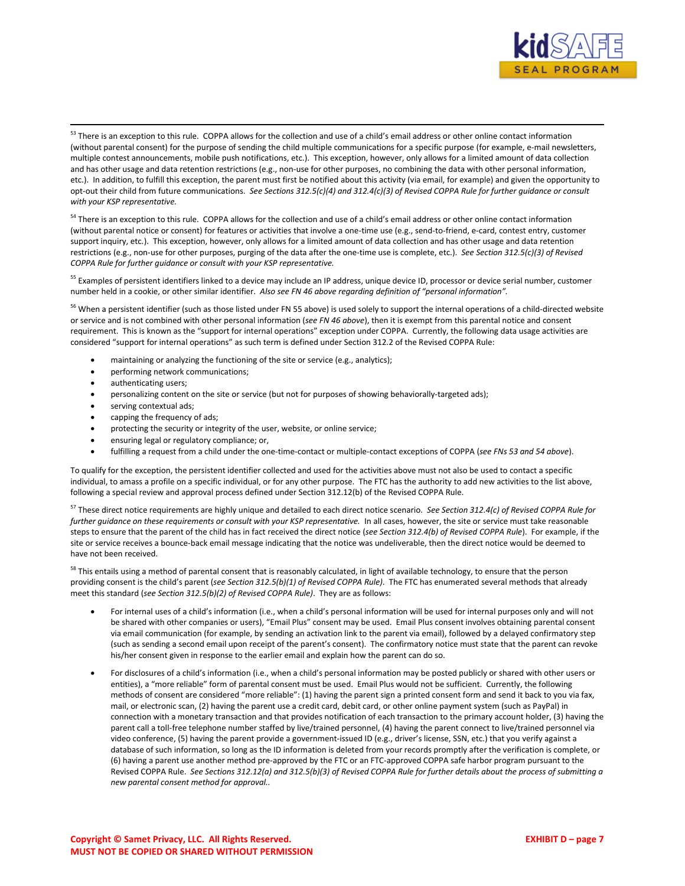

<span id="page-10-12"></span><sup>53</sup> There is an exception to this rule. COPPA allows for the collection and use of a child's email address or other online contact information (without parental consent) for the purpose of sending the child multiple communications for a specific purpose (for example, e-mail newsletters, multiple contest announcements, mobile push notifications, etc.). This exception, however, only allows for a limited amount of data collection and has other usage and data retention restrictions (e.g., non-use for other purposes, no combining the data with other personal information, etc.). In addition, to fulfill this exception, the parent must first be notified about this activity (via email, for example) and given the opportunity to opt-out their child from future communications. *See Sections 312.5(c)(4) and 312.4(c)(3) of Revised COPPA Rule for further guidance or consult with your KSP representative.*

<span id="page-10-14"></span><span id="page-10-13"></span><span id="page-10-6"></span><span id="page-10-5"></span><sup>54</sup> There is an exception to this rule. COPPA allows for the collection and use of a child's email address or other online contact information (without parental notice or consent) for features or activities that involve a one-time use (e.g., send-to-friend, e-card, contest entry, customer support inquiry, etc.). This exception, however, only allows for a limited amount of data collection and has other usage and data retention restrictions (e.g., non-use for other purposes, purging of the data after the one-time use is complete, etc.). *See Section 312.5(c)(3) of Revised COPPA Rule for further guidance or consult with your KSP representative.* 

<span id="page-10-16"></span><span id="page-10-15"></span><sup>55</sup> Examples of persistent identifiers linked to a device may include an IP address, unique device ID, processor or device serial number, customer number held in a cookie, or other similar identifier. *Also see FN 46 above regarding definition of "personal information".*

<span id="page-10-8"></span><span id="page-10-7"></span><sup>56</sup> When a persistent identifier (such as those listed under FN 55 above) is used solely to support the internal operations of a child-directed website or service and is not combined with other personal information (*see FN 46 above*), then it is exempt from this parental notice and consent requirement. This is known as the "support for internal operations" exception under COPPA. Currently, the following data usage activities are considered "support for internal operations" as such term is defined under Section 312.2 of the Revised COPPA Rule:

- maintaining or analyzing the functioning of the site or service (e.g., analytics);
- performing network communications;
- authenticating users;
- <span id="page-10-9"></span>• personalizing content on the site or service (but not for purposes of showing behaviorally-targeted ads);
- serving contextual ads:
- capping the frequency of ads;
- protecting the security or integrity of the user, website, or online service;
- ensuring legal or regulatory compliance; or,
- fulfilling a request from a child under the one-time-contact or multiple-contact exceptions of COPPA (*see FNs 53 and 54 above*).

<span id="page-10-10"></span>To qualify for the exception, the persistent identifier collected and used for the activities above must not also be used to contact a specific individual, to amass a profile on a specific individual, or for any other purpose. The FTC has the authority to add new activities to the list above, following a special review and approval process defined under Section 312.12(b) of the Revised COPPA Rule.

<span id="page-10-11"></span><sup>57</sup> These direct notice requirements are highly unique and detailed to each direct notice scenario. *See Section 312.4(c) of Revised COPPA Rule for*  further guidance on these requirements or consult with your KSP representative. In all cases, however, the site or service must take reasonable steps to ensure that the parent of the child has in fact received the direct notice (*see Section 312.4(b) of Revised COPPA Rule*). For example, if the site or service receives a bounce-back email message indicating that the notice was undeliverable, then the direct notice would be deemed to have not been received.

<sup>58</sup> This entails using a method of parental consent that is reasonably calculated, in light of available technology, to ensure that the person providing consent is the child's parent (*see Section 312.5(b)(1) of Revised COPPA Rule)*. The FTC has enumerated several methods that already meet this standard (*see Section 312.5(b)(2) of Revised COPPA Rule)*. They are as follows:

- For internal uses of a child's information (i.e., when a child's personal information will be used for internal purposes only and will not be shared with other companies or users), "Email Plus" consent may be used. Email Plus consent involves obtaining parental consent via email communication (for example, by sending an activation link to the parent via email), followed by a delayed confirmatory step (such as sending a second email upon receipt of the parent's consent). The confirmatory notice must state that the parent can revoke his/her consent given in response to the earlier email and explain how the parent can do so.
- <span id="page-10-4"></span><span id="page-10-3"></span><span id="page-10-2"></span><span id="page-10-1"></span><span id="page-10-0"></span>• For disclosures of a child's information (i.e., when a child's personal information may be posted publicly or shared with other users or entities), a "more reliable" form of parental consent must be used. Email Plus would not be sufficient. Currently, the following methods of consent are considered "more reliable": (1) having the parent sign a printed consent form and send it back to you via fax, mail, or electronic scan, (2) having the parent use a credit card, debit card, or other online payment system (such as PayPal) in connection with a monetary transaction and that provides notification of each transaction to the primary account holder, (3) having the parent call a toll-free telephone number staffed by live/trained personnel, (4) having the parent connect to live/trained personnel via video conference, (5) having the parent provide a government-issued ID (e.g., driver's license, SSN, etc.) that you verify against a database of such information, so long as the ID information is deleted from your records promptly after the verification is complete, or (6) having a parent use another method pre-approved by the FTC or an FTC-approved COPPA safe harbor program pursuant to the Revised COPPA Rule. *See Sections 312.12(a) and 312.5(b)(3) of Revised COPPA Rule for further details about the process of submitting a new parental consent method for approval..*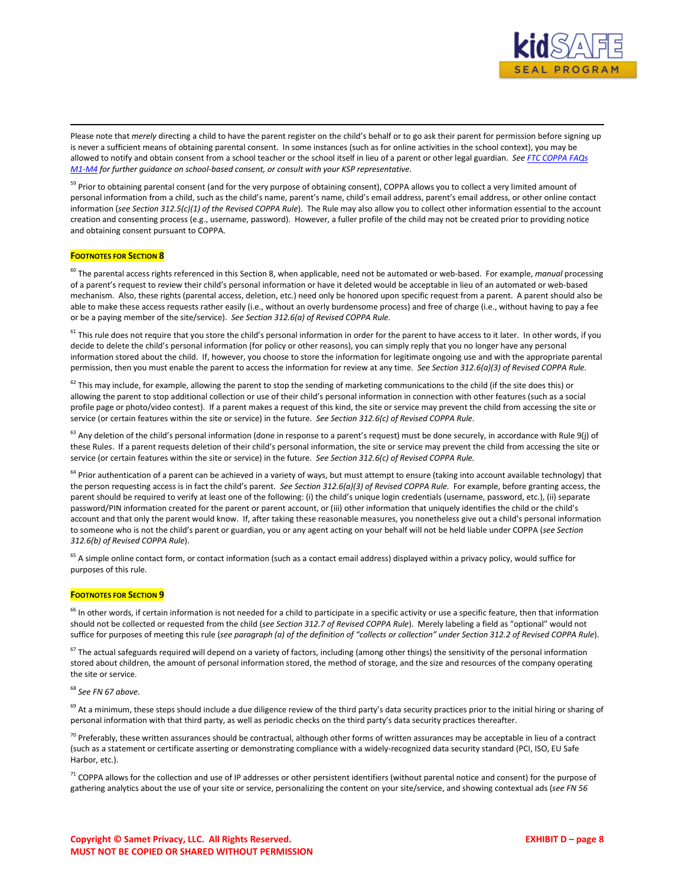

Please note that *merely* directing a child to have the parent register on the child's behalf or to go ask their parent for permission before signing up is never a sufficient means of obtaining parental consent. In some instances (such as for online activities in the school context), you may be allowed to notify and obtain consent from a school teacher or the school itself in lieu of a parent or other legal guardian. *Se[e FTC COPPA FAQs](http://business.ftc.gov/documents/Complying-with-COPPA-Frequently-Asked-Questions)  [M1-M4](http://business.ftc.gov/documents/Complying-with-COPPA-Frequently-Asked-Questions) for further guidance on school-based consent, or consult with your KSP representative.* 

<sup>59</sup> Prior to obtaining parental consent (and for the very purpose of obtaining consent), COPPA allows you to collect a very limited amount of personal information from a child, such as the child's name, parent's name, child's email address, parent's email address, or other online contact information (*see Section 312.5(c)(1) of the Revised COPPA Rule*). The Rule may also allow you to collect other information essential to the account creation and consenting process (e.g., username, password). However, a fuller profile of the child may not be created prior to providing notice and obtaining consent pursuant to COPPA.

#### **FOOTNOTES FOR SECTION 8**

<sup>60</sup> The parental access rights referenced in this Section 8, when applicable, need not be automated or web-based. For example, *manual* processing of a parent's request to review their child's personal information or have it deleted would be acceptable in lieu of an automated or web-based mechanism. Also, these rights (parental access, deletion, etc.) need only be honored upon specific request from a parent. A parent should also be able to make these access requests rather easily (i.e., without an overly burdensome process) and free of charge (i.e., without having to pay a fee or be a paying member of the site/service). *See Section 312.6(a) of Revised COPPA Rule.* 

 $61$  This rule does not require that you store the child's personal information in order for the parent to have access to it later. In other words, if you decide to delete the child's personal information (for policy or other reasons), you can simply reply that you no longer have any personal information stored about the child. If, however, you choose to store the information for legitimate ongoing use and with the appropriate parental permission, then you must enable the parent to access the information for review at any time. *See Section 312.6(a)(3) of Revised COPPA Rule.* 

 $62$  This may include, for example, allowing the parent to stop the sending of marketing communications to the child (if the site does this) or allowing the parent to stop additional collection or use of their child's personal information in connection with other features (such as a social profile page or photo/video contest). If a parent makes a request of this kind, the site or service may prevent the child from accessing the site or service (or certain features within the site or service) in the future. *See Section 312.6(c) of Revised COPPA Rule.* 

 $63$  Any deletion of the child's personal information (done in response to a parent's request) must be done securely, in accordance with Rule 9(j) of these Rules. If a parent requests deletion of their child's personal information, the site or service may prevent the child from accessing the site or service (or certain features within the site or service) in the future. *See Section 312.6(c) of Revised COPPA Rule.* 

<sup>64</sup> Prior authentication of a parent can be achieved in a variety of ways, but must attempt to ensure (taking into account available technology) that the person requesting access is in fact the child's parent. *See Section 312.6(a)(3) of Revised COPPA Rule.* For example, before granting access, the parent should be required to verify at least one of the following: (i) the child's unique login credentials (username, password, etc.), (ii) separate password/PIN information created for the parent or parent account, or (iii) other information that uniquely identifies the child or the child's account and that only the parent would know. If, after taking these reasonable measures, you nonetheless give out a child's personal information to someone who is not the child's parent or guardian, you or any agent acting on your behalf will not be held liable under COPPA (*see Section 312.6(b) of Revised COPPA Rule*).

<sup>65</sup> A simple online contact form, or contact information (such as a contact email address) displayed within a privacy policy, would suffice for purposes of this rule.

#### **FOOTNOTES FOR SECTION 9**

<sup>66</sup> In other words, if certain information is not needed for a child to participate in a specific activity or use a specific feature, then that information should not be collected or requested from the child (*see Section 312.7 of Revised COPPA Rule*). Merely labeling a field as "optional" would not suffice for purposes of meeting this rule (*see paragraph (a) of the definition of "collects or collection" under Section 312.2 of Revised COPPA Rule*).

 $67$  The actual safeguards required will depend on a variety of factors, including (among other things) the sensitivity of the personal information stored about children, the amount of personal information stored, the method of storage, and the size and resources of the company operating the site or service.

### <sup>68</sup> *See FN 67 above.*

<sup>69</sup> At a minimum, these steps should include a due diligence review of the third party's data security practices prior to the initial hiring or sharing of personal information with that third party, as well as periodic checks on the third party's data security practices thereafter.

 $^{70}$  Preferably, these written assurances should be contractual, although other forms of written assurances may be acceptable in lieu of a contract (such as a statement or certificate asserting or demonstrating compliance with a widely-recognized data security standard (PCI, ISO, EU Safe Harbor, etc.).

 $71$  COPPA allows for the collection and use of IP addresses or other persistent identifiers (without parental notice and consent) for the purpose of gathering analytics about the use of your site or service, personalizing the content on your site/service, and showing contextual ads (*see FN 56*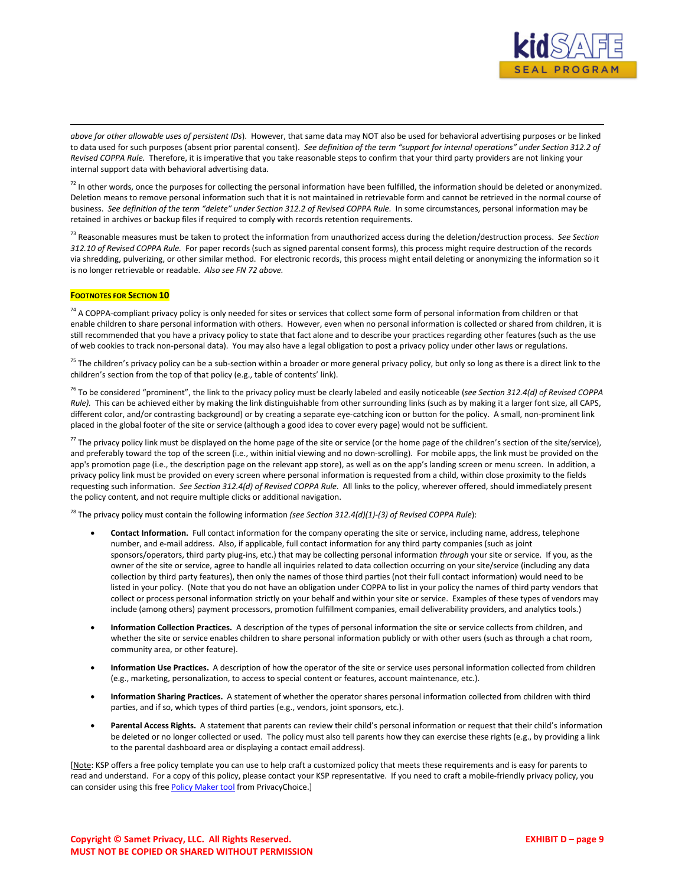

*above for other allowable uses of persistent IDs*). However, that same data may NOT also be used for behavioral advertising purposes or be linked to data used for such purposes (absent prior parental consent). *See definition of the term "support for internal operations" under Section 312.2 of Revised COPPA Rule.* Therefore, it is imperative that you take reasonable steps to confirm that your third party providers are not linking your internal support data with behavioral advertising data.

 $^{72}$  In other words, once the purposes for collecting the personal information have been fulfilled, the information should be deleted or anonymized. Deletion means to remove personal information such that it is not maintained in retrievable form and cannot be retrieved in the normal course of business. See definition of the term "delete" under Section 312.2 of Revised COPPA Rule. In some circumstances, personal information may be retained in archives or backup files if required to comply with records retention requirements.

<sup>73</sup> Reasonable measures must be taken to protect the information from unauthorized access during the deletion/destruction process. *See Section 312.10 of Revised COPPA Rule.* For paper records (such as signed parental consent forms), this process might require destruction of the records via shredding, pulverizing, or other similar method. For electronic records, this process might entail deleting or anonymizing the information so it is no longer retrievable or readable. *Also see FN 72 above.* 

#### **FOOTNOTES FOR SECTION 10**

 $\overline{\phantom{a}}$ 

<sup>74</sup> A COPPA-compliant privacy policy is only needed for sites or services that collect some form of personal information from children or that enable children to share personal information with others. However, even when no personal information is collected or shared from children, it is still recommended that you have a privacy policy to state that fact alone and to describe your practices regarding other features (such as the use of web cookies to track non-personal data). You may also have a legal obligation to post a privacy policy under other laws or regulations.

<sup>75</sup> The children's privacy policy can be a sub-section within a broader or more general privacy policy, but only so long as there is a direct link to the children's section from the top of that policy (e.g., table of contents' link).

<sup>76</sup> To be considered "prominent", the link to the privacy policy must be clearly labeled and easily noticeable (*see Section 312.4(d) of Revised COPPA Rule*). This can be achieved either by making the link distinguishable from other surrounding links (such as by making it a larger font size, all CAPS, different color, and/or contrasting background) or by creating a separate eye-catching icon or button for the policy. A small, non-prominent link placed in the global footer of the site or service (although a good idea to cover every page) would not be sufficient.

 $^{77}$  The privacy policy link must be displayed on the home page of the site or service (or the home page of the children's section of the site/service), and preferably toward the top of the screen (i.e., within initial viewing and no down-scrolling). For mobile apps, the link must be provided on the app's promotion page (i.e., the description page on the relevant app store), as well as on the app's landing screen or menu screen. In addition, a privacy policy link must be provided on every screen where personal information is requested from a child, within close proximity to the fields requesting such information. *See Section 312.4(d) of Revised COPPA Rule.* All links to the policy, wherever offered, should immediately present the policy content, and not require multiple clicks or additional navigation.

<sup>78</sup> The privacy policy must contain the following information *(see Section 312.4(d)(1)-(3) of Revised COPPA Rule*):

- **Contact Information.** Full contact information for the company operating the site or service, including name, address, telephone number, and e-mail address. Also, if applicable, full contact information for any third party companies (such as joint sponsors/operators, third party plug-ins, etc.) that may be collecting personal information *through* your site or service. If you, as the owner of the site or service, agree to handle all inquiries related to data collection occurring on your site/service (including any data collection by third party features), then only the names of those third parties (not their full contact information) would need to be listed in your policy. (Note that you do not have an obligation under COPPA to list in your policy the names of third party vendors that collect or process personal information strictly on your behalf and within your site or service. Examples of these types of vendors may include (among others) payment processors, promotion fulfillment companies, email deliverability providers, and analytics tools.)
- **Information Collection Practices.** A description of the types of personal information the site or service collects from children, and whether the site or service enables children to share personal information publicly or with other users (such as through a chat room, community area, or other feature).
- **Information Use Practices.** A description of how the operator of the site or service uses personal information collected from children (e.g., marketing, personalization, to access to special content or features, account maintenance, etc.).
- **Information Sharing Practices.** A statement of whether the operator shares personal information collected from children with third parties, and if so, which types of third parties (e.g., vendors, joint sponsors, etc.).
- **Parental Access Rights.** A statement that parents can review their child's personal information or request that their child's information be deleted or no longer collected or used. The policy must also tell parents how they can exercise these rights (e.g., by providing a link to the parental dashboard area or displaying a contact email address).

[Note: KSP offers a free policy template you can use to help craft a customized policy that meets these requirements and is easy for parents to read and understand. For a copy of this policy, please contact your KSP representative. If you need to craft a mobile-friendly privacy policy, you can consider using this free **[Policy Maker tool](http://www.privacychoice.org/policymaker)** from PrivacyChoice.]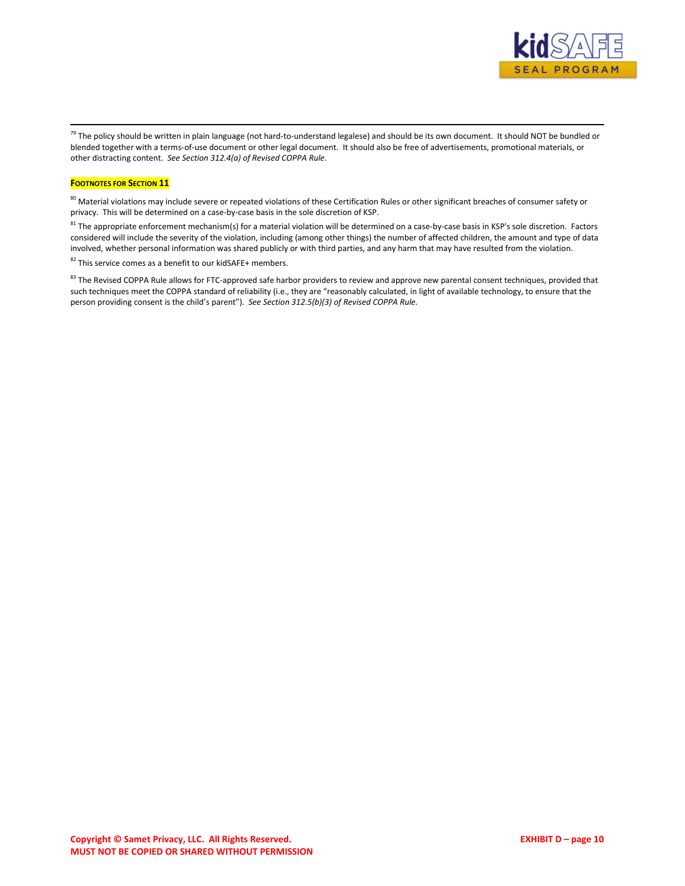

<sup>79</sup> The policy should be written in plain language (not hard-to-understand legalese) and should be its own document. It should NOT be bundled or blended together with a terms-of-use document or other legal document. It should also be free of advertisements, promotional materials, or other distracting content. *See Section 312.4(a) of Revised COPPA Rule.*

### **FOOTNOTES FOR SECTION 11**

<sup>80</sup> Material violations may include severe or repeated violations of these Certification Rules or other significant breaches of consumer safety or privacy. This will be determined on a case-by-case basis in the sole discretion of KSP.

<sup>81</sup> The appropriate enforcement mechanism(s) for a material violation will be determined on a case-by-case basis in KSP's sole discretion. Factors considered will include the severity of the violation, including (among other things) the number of affected children, the amount and type of data involved, whether personal information was shared publicly or with third parties, and any harm that may have resulted from the violation.

 $82$  This service comes as a benefit to our kidSAFE+ members.

<sup>83</sup> The Revised COPPA Rule allows for FTC-approved safe harbor providers to review and approve new parental consent techniques, provided that such techniques meet the COPPA standard of reliability (i.e., they are "reasonably calculated, in light of available technology, to ensure that the person providing consent is the child's parent"). *See Section 312.5(b)(3) of Revised COPPA Rule.*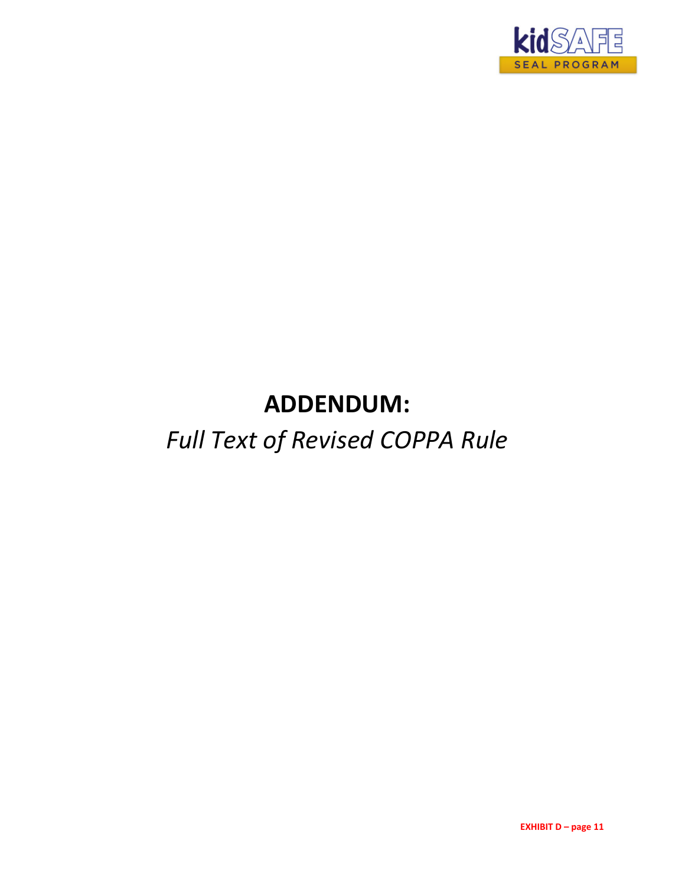

# **ADDENDUM:**

# *Full Text of Revised COPPA Rule*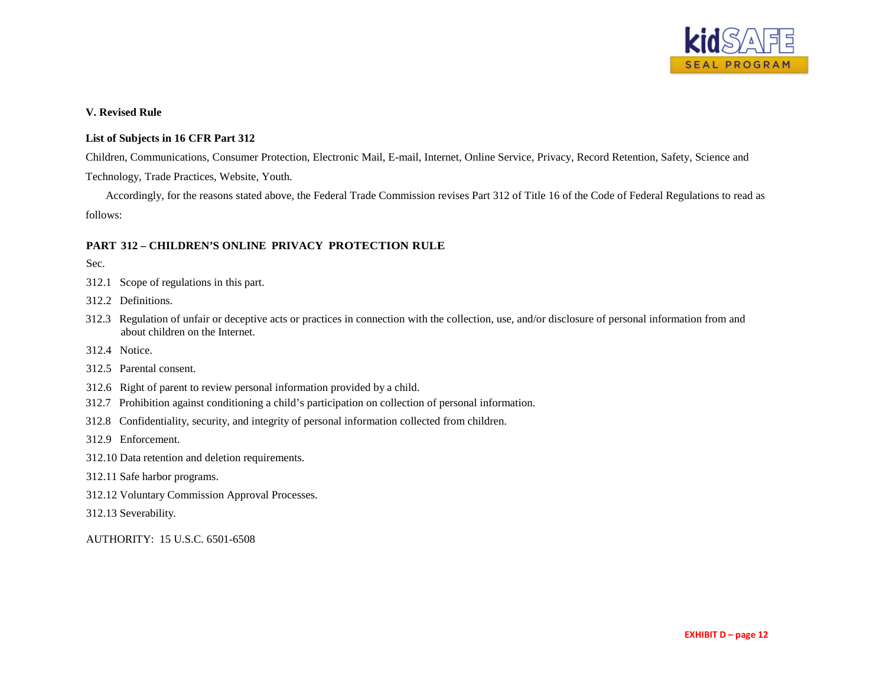

### **V. Revised Rule**

### **List of Subjects in 16 CFR Part 312**

Children, Communications, Consumer Protection, Electronic Mail, E-mail, Internet, Online Service, Privacy, Record Retention, Safety, Science and

Technology, Trade Practices, Website, Youth.

Accordingly, for the reasons stated above, the Federal Trade Commission revises Part 312 of Title 16 of the Code of Federal Regulations to read as follows:

### **PART 312 – CHILDREN'S ONLINE PRIVACY PROTECTION RULE**

Sec.

- 312.1 Scope of regulations in this part.
- 312.2 Definitions.
- 312.3 Regulation of unfair or deceptive acts or practices in connection with the collection, use, and/or disclosure of personal information from and about children on the Internet.
- 312.4 Notice.

### 312.5 Parental consent.

- 312.6 Right of parent to review personal information provided by a child.
- 312.7 Prohibition against conditioning a child's participation on collection of personal information.
- 312.8 Confidentiality, security, and integrity of personal information collected from children.
- 312.9 Enforcement.
- 312.10 Data retention and deletion requirements.
- 312.11 Safe harbor programs.
- 312.12 Voluntary Commission Approval Processes.
- 312.13 Severability.

AUTHORITY: 15 U.S.C. 6501-6508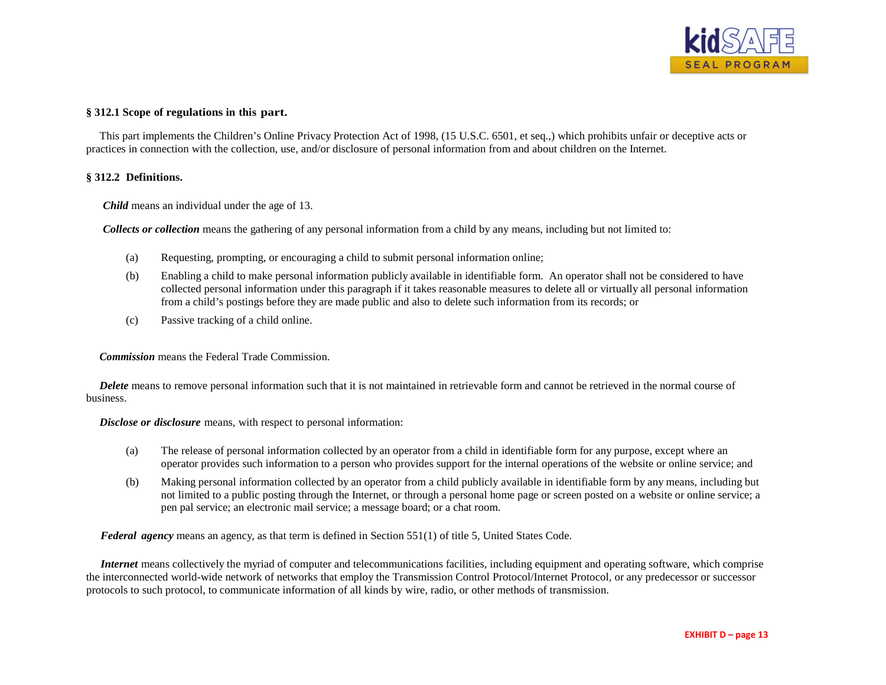

### **§ 312.1 Scope of regulations in this part.**

This part implements the Children's Online Privacy Protection Act of 1998, (15 U.S.C. 6501, et seq.,) which prohibits unfair or deceptive acts or practices in connection with the collection, use, and/or disclosure of personal information from and about children on the Internet.

### **§ 312.2 Definitions.**

*Child* means an individual under the age of 13.

*Collects or collection* means the gathering of any personal information from a child by any means, including but not limited to:

- (a) Requesting, prompting, or encouraging a child to submit personal information online;
- (b) Enabling a child to make personal information publicly available in identifiable form. An operator shall not be considered to have collected personal information under this paragraph if it takes reasonable measures to delete all or virtually all personal information from a child's postings before they are made public and also to delete such information from its records; or
- (c) Passive tracking of a child online.

*Commission* means the Federal Trade Commission.

*Delete* means to remove personal information such that it is not maintained in retrievable form and cannot be retrieved in the normal course of business.

*Disclose or disclosure* means, with respect to personal information:

- (a) The release of personal information collected by an operator from a child in identifiable form for any purpose, except where an operator provides such information to a person who provides support for the internal operations of the website or online service; and
- (b) Making personal information collected by an operator from a child publicly available in identifiable form by any means, including but not limited to a public posting through the Internet, or through a personal home page or screen posted on a website or online service; a pen pal service; an electronic mail service; a message board; or a chat room.

*Federal agency* means an agency, as that term is defined in Section 551(1) of title 5, United States Code.

*Internet* means collectively the myriad of computer and telecommunications facilities, including equipment and operating software, which comprise the interconnected world-wide network of networks that employ the Transmission Control Protocol/Internet Protocol, or any predecessor or successor protocols to such protocol, to communicate information of all kinds by wire, radio, or other methods of transmission.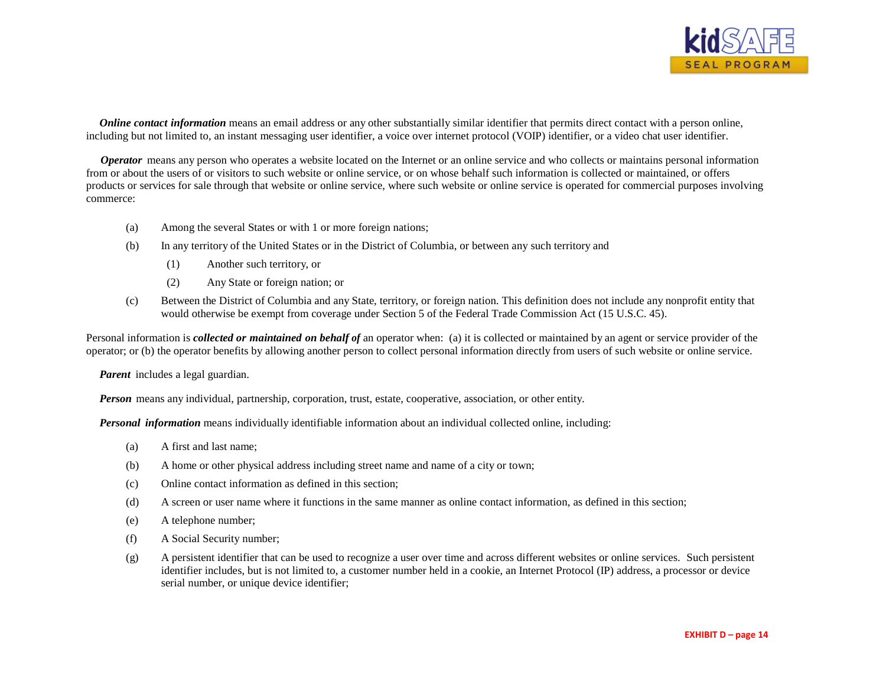

*Online contact information* means an email address or any other substantially similar identifier that permits direct contact with a person online, including but not limited to, an instant messaging user identifier, a voice over internet protocol (VOIP) identifier, or a video chat user identifier.

*Operator* means any person who operates a website located on the Internet or an online service and who collects or maintains personal information from or about the users of or visitors to such website or online service, or on whose behalf such information is collected or maintained, or offers products or services for sale through that website or online service, where such website or online service is operated for commercial purposes involving commerce:

- (a) Among the several States or with 1 or more foreign nations;
- (b) In any territory of the United States or in the District of Columbia, or between any such territory and
	- (1) Another such territory, or
	- (2) Any State or foreign nation; or
- (c) Between the District of Columbia and any State, territory, or foreign nation. This definition does not include any nonprofit entity that would otherwise be exempt from coverage under Section 5 of the Federal Trade Commission Act (15 U.S.C. 45).

Personal information is *collected or maintained on behalf of* an operator when: (a) it is collected or maintained by an agent or service provider of the operator; or (b) the operator benefits by allowing another person to collect personal information directly from users of such website or online service.

*Parent* includes a legal guardian.

*Person* means any individual, partnership, corporation, trust, estate, cooperative, association, or other entity.

*Personal information* means individually identifiable information about an individual collected online, including:

- (a) A first and last name;
- (b) A home or other physical address including street name and name of a city or town;
- (c) Online contact information as defined in this section;
- (d) A screen or user name where it functions in the same manner as online contact information, as defined in this section;
- (e) A telephone number;
- (f) A Social Security number;
- (g) A persistent identifier that can be used to recognize a user over time and across different websites or online services. Such persistent identifier includes, but is not limited to, a customer number held in a cookie, an Internet Protocol (IP) address, a processor or device serial number, or unique device identifier;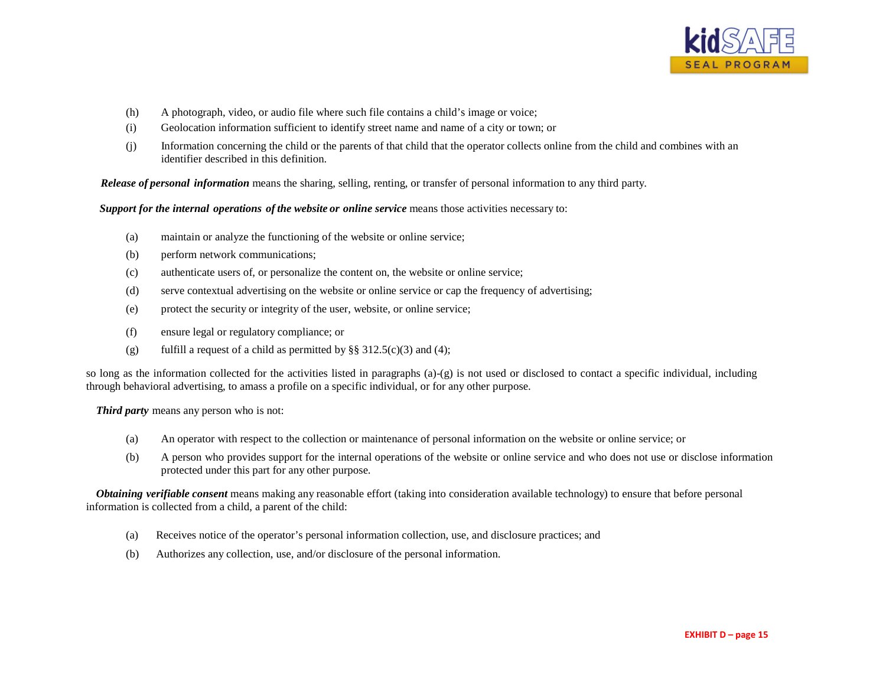

- (h) A photograph, video, or audio file where such file contains a child's image or voice;
- (i) Geolocation information sufficient to identify street name and name of a city or town; or
- (j) Information concerning the child or the parents of that child that the operator collects online from the child and combines with an identifier described in this definition.

*Release of personal information* means the sharing, selling, renting, or transfer of personal information to any third party.

*Support for the internal operations of the website or online service* means those activities necessary to:

- (a) maintain or analyze the functioning of the website or online service;
- (b) perform network communications;
- (c) authenticate users of, or personalize the content on, the website or online service;
- (d) serve contextual advertising on the website or online service or cap the frequency of advertising;
- (e) protect the security or integrity of the user, website, or online service;
- (f) ensure legal or regulatory compliance; or
- (g) fulfill a request of a child as permitted by §§  $312.5(c)(3)$  and (4);

so long as the information collected for the activities listed in paragraphs (a)-(g) is not used or disclosed to contact a specific individual, including through behavioral advertising, to amass a profile on a specific individual, or for any other purpose.

*Third party* means any person who is not:

- (a) An operator with respect to the collection or maintenance of personal information on the website or online service; or
- (b) A person who provides support for the internal operations of the website or online service and who does not use or disclose information protected under this part for any other purpose.

*Obtaining verifiable consent* means making any reasonable effort (taking into consideration available technology) to ensure that before personal information is collected from a child, a parent of the child:

- (a) Receives notice of the operator's personal information collection, use, and disclosure practices; and
- (b) Authorizes any collection, use, and/or disclosure of the personal information.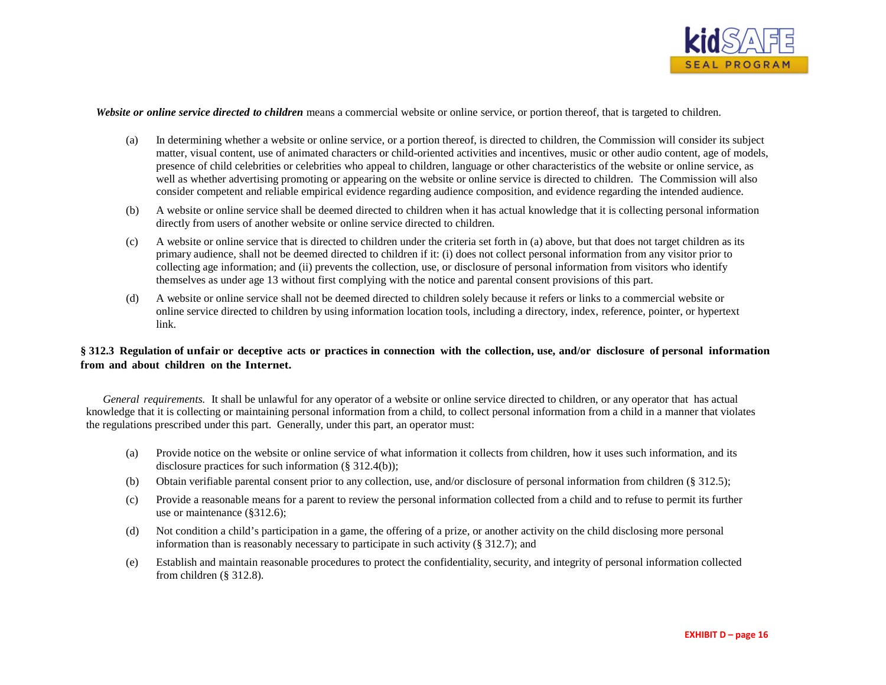

*Website or online service directed to children* means a commercial website or online service, or portion thereof, that is targeted to children.

- (a) In determining whether a website or online service, or a portion thereof, is directed to children, the Commission will consider its subject matter, visual content, use of animated characters or child-oriented activities and incentives, music or other audio content, age of models, presence of child celebrities or celebrities who appeal to children, language or other characteristics of the website or online service, as well as whether advertising promoting or appearing on the website or online service is directed to children. The Commission will also consider competent and reliable empirical evidence regarding audience composition, and evidence regarding the intended audience.
- (b) A website or online service shall be deemed directed to children when it has actual knowledge that it is collecting personal information directly from users of another website or online service directed to children.
- (c) A website or online service that is directed to children under the criteria set forth in (a) above, but that does not target children as its primary audience, shall not be deemed directed to children if it: (i) does not collect personal information from any visitor prior to collecting age information; and (ii) prevents the collection, use, or disclosure of personal information from visitors who identify themselves as under age 13 without first complying with the notice and parental consent provisions of this part.
- (d) A website or online service shall not be deemed directed to children solely because it refers or links to a commercial website or online service directed to children by using information location tools, including a directory, index, reference, pointer, or hypertext link.

### § 312.3 Regulation of unfair or deceptive acts or practices in connection with the collection, use, and/or disclosure of personal information **from and about children on the Internet.**

*General requirements.* It shall be unlawful for any operator of a website or online service directed to children, or any operator that has actual knowledge that it is collecting or maintaining personal information from a child, to collect personal information from a child in a manner that violates the regulations prescribed under this part. Generally, under this part, an operator must:

- (a) Provide notice on the website or online service of what information it collects from children, how it uses such information, and its disclosure practices for such information (§ 312.4(b));
- (b) Obtain verifiable parental consent prior to any collection, use, and/or disclosure of personal information from children (§ 312.5);
- (c) Provide a reasonable means for a parent to review the personal information collected from a child and to refuse to permit its further use or maintenance (§312.6);
- (d) Not condition a child's participation in a game, the offering of a prize, or another activity on the child disclosing more personal information than is reasonably necessary to participate in such activity  $(\S 312.7)$ ; and
- (e) Establish and maintain reasonable procedures to protect the confidentiality, security, and integrity of personal information collected from children (§ 312.8).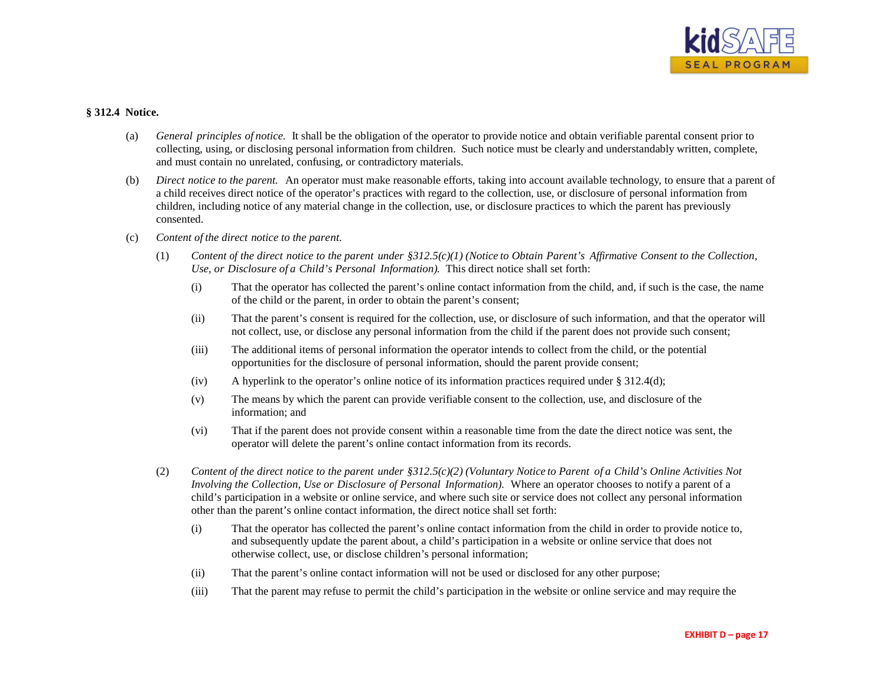

### **§ 312.4 Notice.**

- (a) *General principles of notice.* It shall be the obligation of the operator to provide notice and obtain verifiable parental consent prior to collecting, using, or disclosing personal information from children. Such notice must be clearly and understandably written, complete, and must contain no unrelated, confusing, or contradictory materials.
- (b) *Direct notice to the parent.* An operator must make reasonable efforts, taking into account available technology, to ensure that a parent of a child receives direct notice of the operator's practices with regard to the collection, use, or disclosure of personal information from children, including notice of any material change in the collection, use, or disclosure practices to which the parent has previously consented.
- (c) *Content of the direct notice to the parent.*
	- (1) Content of the direct notice to the parent under  $\$312.5(c)(1)$  (Notice to Obtain Parent's Affirmative Consent to the Collection, *Use, or Disclosure of a Child's Personal Information).* This direct notice shall set forth:
		- (i) That the operator has collected the parent's online contact information from the child, and, if such is the case, the name of the child or the parent, in order to obtain the parent's consent;
		- (ii) That the parent's consent is required for the collection, use, or disclosure of such information, and that the operator will not collect, use, or disclose any personal information from the child if the parent does not provide such consent;
		- (iii) The additional items of personal information the operator intends to collect from the child, or the potential opportunities for the disclosure of personal information, should the parent provide consent;
		- (iv) A hyperlink to the operator's online notice of its information practices required under § 312.4(d);
		- (v) The means by which the parent can provide verifiable consent to the collection, use, and disclosure of the information; and
		- (vi) That if the parent does not provide consent within a reasonable time from the date the direct notice was sent, the operator will delete the parent's online contact information from its records.
	- (2) Content of the direct notice to the parent under  $\S312.5(c)(2)$  (Voluntary Notice to Parent of a Child's Online Activities Not *Involving the Collection, Use or Disclosure of Personal Information).* Where an operator chooses to notify a parent of a child's participation in a website or online service, and where such site or service does not collect any personal information other than the parent's online contact information, the direct notice shall set forth:
		- (i) That the operator has collected the parent's online contact information from the child in order to provide notice to, and subsequently update the parent about, a child's participation in a website or online service that does not otherwise collect, use, or disclose children's personal information;
		- (ii) That the parent's online contact information will not be used or disclosed for any other purpose;
		- (iii) That the parent may refuse to permit the child's participation in the website or online service and may require the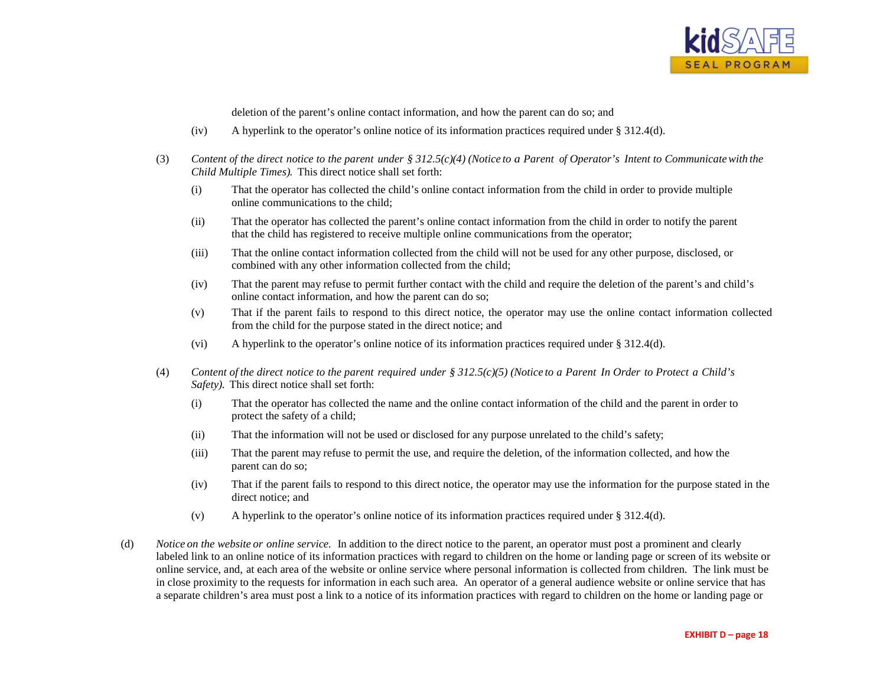

deletion of the parent's online contact information, and how the parent can do so; and

- (iv) A hyperlink to the operator's online notice of its information practices required under § 312.4(d).
- (3) Content of the direct notice to the parent under  $\S 312.5(c)(4)$  (Notice to a Parent of Operator's Intent to Communicate with the *Child Multiple Times).* This direct notice shall set forth:
	- (i) That the operator has collected the child's online contact information from the child in order to provide multiple online communications to the child;
	- (ii) That the operator has collected the parent's online contact information from the child in order to notify the parent that the child has registered to receive multiple online communications from the operator;
	- (iii) That the online contact information collected from the child will not be used for any other purpose, disclosed, or combined with any other information collected from the child;
	- (iv) That the parent may refuse to permit further contact with the child and require the deletion of the parent's and child's online contact information, and how the parent can do so;
	- (v) That if the parent fails to respond to this direct notice, the operator may use the online contact information collected from the child for the purpose stated in the direct notice; and
	- (vi) A hyperlink to the operator's online notice of its information practices required under § 312.4(d).
- (4) *Content of the direct notice to the parent required under § 312.5(c)(5) (Notice to a Parent In Order to Protect a Child's Safety).* This direct notice shall set forth:
	- (i) That the operator has collected the name and the online contact information of the child and the parent in order to protect the safety of a child;
	- (ii) That the information will not be used or disclosed for any purpose unrelated to the child's safety;
	- (iii) That the parent may refuse to permit the use, and require the deletion, of the information collected, and how the parent can do so;
	- (iv) That if the parent fails to respond to this direct notice, the operator may use the information for the purpose stated in the direct notice; and
	- (v) A hyperlink to the operator's online notice of its information practices required under § 312.4(d).
- (d) *Notice on the website or online service.* In addition to the direct notice to the parent, an operator must post a prominent and clearly labeled link to an online notice of its information practices with regard to children on the home or landing page or screen of its website or online service, and, at each area of the website or online service where personal information is collected from children. The link must be in close proximity to the requests for information in each such area. An operator of a general audience website or online service that has a separate children's area must post a link to a notice of its information practices with regard to children on the home or landing page or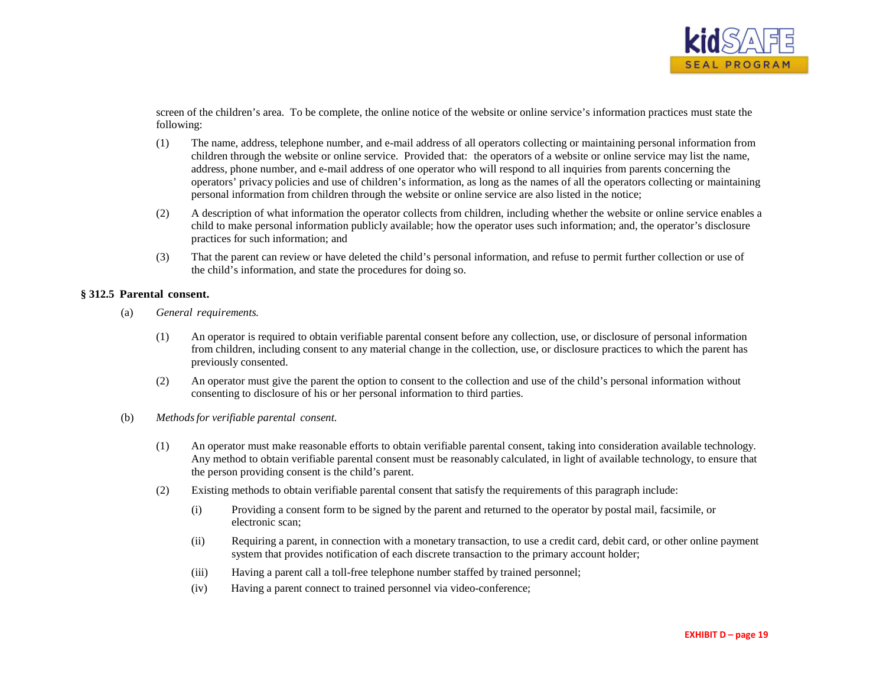screen of the children's area. To be complete, the online notice of the website or online service's information practices must state the following:

- (1) The name, address, telephone number, and e-mail address of all operators collecting or maintaining personal information from children through the website or online service. Provided that: the operators of a website or online service may list the name, address, phone number, and e-mail address of one operator who will respond to all inquiries from parents concerning the operators' privacy policies and use of children's information, as long as the names of all the operators collecting or maintaining personal information from children through the website or online service are also listed in the notice;
- (2) A description of what information the operator collects from children, including whether the website or online service enables a child to make personal information publicly available; how the operator uses such information; and, the operator's disclosure practices for such information; and
- (3) That the parent can review or have deleted the child's personal information, and refuse to permit further collection or use of the child's information, and state the procedures for doing so.

### **§ 312.5 Parental consent.**

- (a) *General requirements.*
	- (1) An operator is required to obtain verifiable parental consent before any collection, use, or disclosure of personal information from children, including consent to any material change in the collection, use, or disclosure practices to which the parent has previously consented.
	- (2) An operator must give the parent the option to consent to the collection and use of the child's personal information without consenting to disclosure of his or her personal information to third parties.
- (b) *Methodsfor verifiable parental consent.*
	- (1) An operator must make reasonable efforts to obtain verifiable parental consent, taking into consideration available technology. Any method to obtain verifiable parental consent must be reasonably calculated, in light of available technology, to ensure that the person providing consent is the child's parent.
	- (2) Existing methods to obtain verifiable parental consent that satisfy the requirements of this paragraph include:
		- (i) Providing a consent form to be signed by the parent and returned to the operator by postal mail, facsimile, or electronic scan;
		- (ii) Requiring a parent, in connection with a monetary transaction, to use a credit card, debit card, or other online payment system that provides notification of each discrete transaction to the primary account holder;
		- (iii) Having a parent call a toll-free telephone number staffed by trained personnel;
		- (iv) Having a parent connect to trained personnel via video-conference;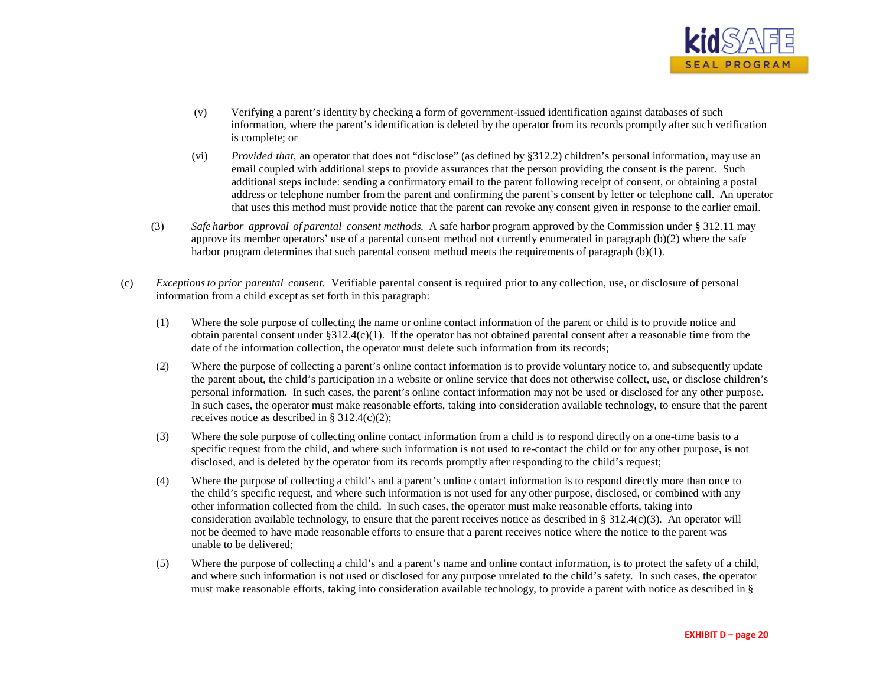

- (v) Verifying a parent's identity by checking a form of government-issued identification against databases of such information, where the parent's identification is deleted by the operator from its records promptly after such verification is complete; or
- (vi) *Provided that*, an operator that does not "disclose" (as defined by §312.2) children's personal information, may use an email coupled with additional steps to provide assurances that the person providing the consent is the parent. Such additional steps include: sending a confirmatory email to the parent following receipt of consent, or obtaining a postal address or telephone number from the parent and confirming the parent's consent by letter or telephone call. An operator that uses this method must provide notice that the parent can revoke any consent given in response to the earlier email.
- (3) *Safe harbor approval of parental consent methods.* A safe harbor program approved by the Commission under § 312.11 may approve its member operators' use of a parental consent method not currently enumerated in paragraph (b)(2) where the safe harbor program determines that such parental consent method meets the requirements of paragraph (b)(1).
- (c) *Exceptionsto prior parental consent.* Verifiable parental consent is required prior to any collection, use, or disclosure of personal information from a child except as set forth in this paragraph:
	- (1) Where the sole purpose of collecting the name or online contact information of the parent or child is to provide notice and obtain parental consent under  $\S 312.4(c)(1)$ . If the operator has not obtained parental consent after a reasonable time from the date of the information collection, the operator must delete such information from its records;
	- (2) Where the purpose of collecting a parent's online contact information is to provide voluntary notice to, and subsequently update the parent about, the child's participation in a website or online service that does not otherwise collect, use, or disclose children's personal information. In such cases, the parent's online contact information may not be used or disclosed for any other purpose. In such cases, the operator must make reasonable efforts, taking into consideration available technology, to ensure that the parent receives notice as described in § 312.4(c)(2);
	- (3) Where the sole purpose of collecting online contact information from a child is to respond directly on a one-time basis to a specific request from the child, and where such information is not used to re-contact the child or for any other purpose, is not disclosed, and is deleted by the operator from its records promptly after responding to the child's request;
	- (4) Where the purpose of collecting a child's and a parent's online contact information is to respond directly more than once to the child's specific request, and where such information is not used for any other purpose, disclosed, or combined with any other information collected from the child. In such cases, the operator must make reasonable efforts, taking into consideration available technology, to ensure that the parent receives notice as described in § 312.4(c)(3). An operator will not be deemed to have made reasonable efforts to ensure that a parent receives notice where the notice to the parent was unable to be delivered;
	- (5) Where the purpose of collecting a child's and a parent's name and online contact information, is to protect the safety of a child, and where such information is not used or disclosed for any purpose unrelated to the child's safety. In such cases, the operator must make reasonable efforts, taking into consideration available technology, to provide a parent with notice as described in §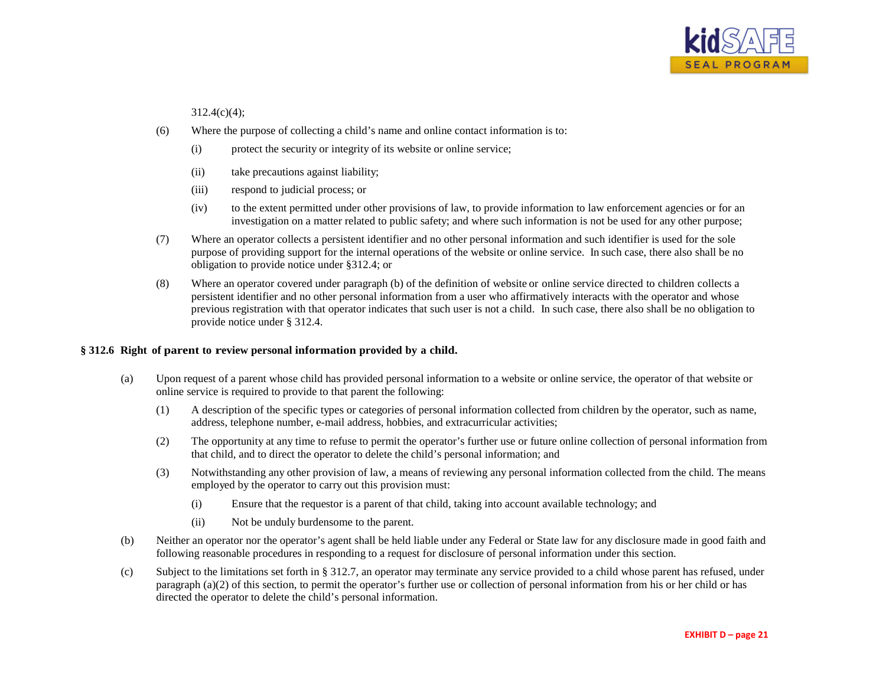

312.4(c)(4);

- (6) Where the purpose of collecting a child's name and online contact information is to:
	- (i) protect the security or integrity of its website or online service;
	- (ii) take precautions against liability;
	- (iii) respond to judicial process; or
	- (iv) to the extent permitted under other provisions of law, to provide information to law enforcement agencies or for an investigation on a matter related to public safety; and where such information is not be used for any other purpose;
- (7) Where an operator collects a persistent identifier and no other personal information and such identifier is used for the sole purpose of providing support for the internal operations of the website or online service. In such case, there also shall be no obligation to provide notice under §312.4; or
- (8) Where an operator covered under paragraph (b) of the definition of website or online service directed to children collects a persistent identifier and no other personal information from a user who affirmatively interacts with the operator and whose previous registration with that operator indicates that such user is not a child. In such case, there also shall be no obligation to provide notice under § 312.4.

### **§ 312.6 Right of parent to review personal information provided by a child.**

- (a) Upon request of a parent whose child has provided personal information to a website or online service, the operator of that website or online service is required to provide to that parent the following:
	- (1) A description of the specific types or categories of personal information collected from children by the operator, such as name, address, telephone number, e-mail address, hobbies, and extracurricular activities;
	- (2) The opportunity at any time to refuse to permit the operator's further use or future online collection of personal information from that child, and to direct the operator to delete the child's personal information; and
	- (3) Notwithstanding any other provision of law, a means of reviewing any personal information collected from the child. The means employed by the operator to carry out this provision must:
		- (i) Ensure that the requestor is a parent of that child, taking into account available technology; and
		- (ii) Not be unduly burdensome to the parent.
- (b) Neither an operator nor the operator's agent shall be held liable under any Federal or State law for any disclosure made in good faith and following reasonable procedures in responding to a request for disclosure of personal information under this section.
- (c) Subject to the limitations set forth in § 312.7, an operator may terminate any service provided to a child whose parent has refused, under paragraph (a)(2) of this section, to permit the operator's further use or collection of personal information from his or her child or has directed the operator to delete the child's personal information.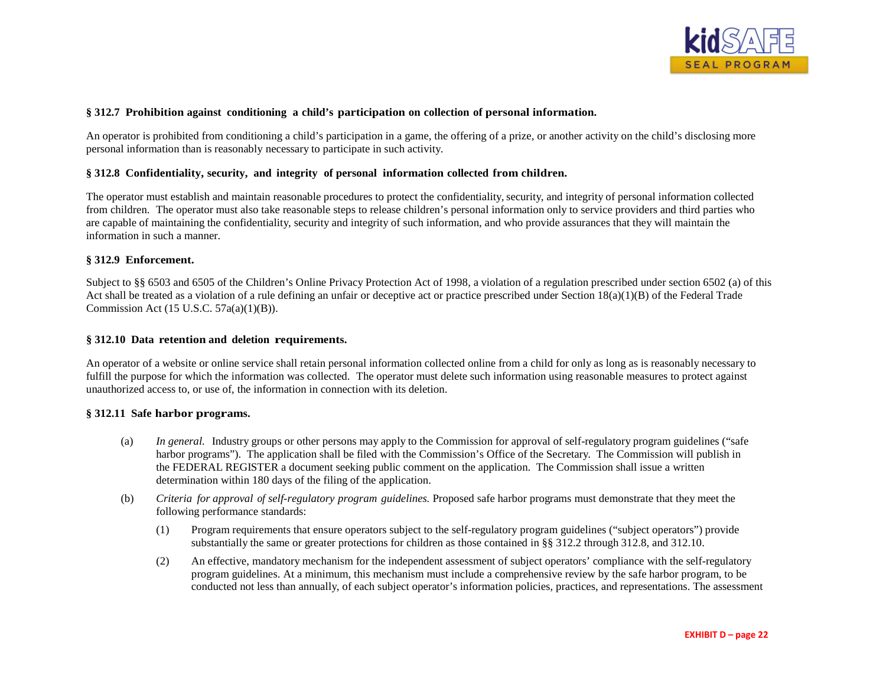

### **§ 312.7 Prohibition against conditioning a child's participation on collection of personal information.**

An operator is prohibited from conditioning a child's participation in a game, the offering of a prize, or another activity on the child's disclosing more personal information than is reasonably necessary to participate in such activity.

### **§ 312.8 Confidentiality, security, and integrity of personal information collected from children.**

The operator must establish and maintain reasonable procedures to protect the confidentiality, security, and integrity of personal information collected from children. The operator must also take reasonable steps to release children's personal information only to service providers and third parties who are capable of maintaining the confidentiality, security and integrity of such information, and who provide assurances that they will maintain the information in such a manner.

### **§ 312.9 Enforcement.**

Subject to §§ 6503 and 6505 of the Children's Online Privacy Protection Act of 1998, a violation of a regulation prescribed under section 6502 (a) of this Act shall be treated as a violation of a rule defining an unfair or deceptive act or practice prescribed under Section 18(a)(1)(B) of the Federal Trade Commission Act  $(15 \text{ U.S.C. } 57a(a)(1)(B)).$ 

### **§ 312.10 Data retention and deletion requirements.**

An operator of a website or online service shall retain personal information collected online from a child for only as long as is reasonably necessary to fulfill the purpose for which the information was collected. The operator must delete such information using reasonable measures to protect against unauthorized access to, or use of, the information in connection with its deletion.

### **§ 312.11 Safe harbor programs.**

- (a) *In general.* Industry groups or other persons may apply to the Commission for approval of self-regulatory program guidelines ("safe harbor programs"). The application shall be filed with the Commission's Office of the Secretary. The Commission will publish in the FEDERAL REGISTER a document seeking public comment on the application. The Commission shall issue a written determination within 180 days of the filing of the application.
- (b) *Criteria for approval of self-regulatory program guidelines.* Proposed safe harbor programs must demonstrate that they meet the following performance standards:
	- (1) Program requirements that ensure operators subject to the self-regulatory program guidelines ("subject operators") provide substantially the same or greater protections for children as those contained in §§ 312.2 through 312.8, and 312.10.
	- (2) An effective, mandatory mechanism for the independent assessment of subject operators' compliance with the self-regulatory program guidelines. At a minimum, this mechanism must include a comprehensive review by the safe harbor program, to be conducted not less than annually, of each subject operator's information policies, practices, and representations. The assessment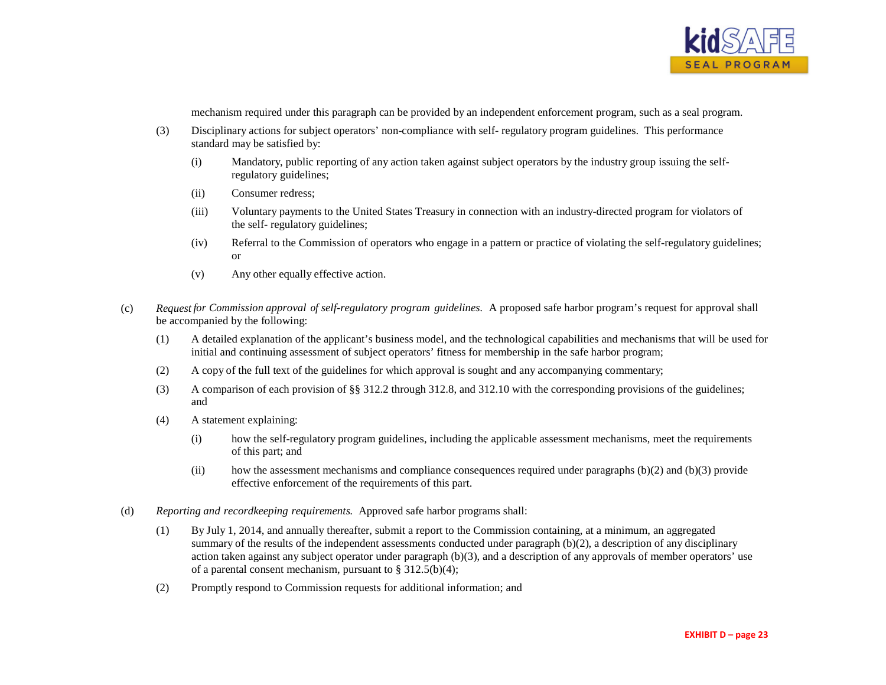

mechanism required under this paragraph can be provided by an independent enforcement program, such as a seal program.

- (3) Disciplinary actions for subject operators' non-compliance with self- regulatory program guidelines. This performance standard may be satisfied by:
	- (i) Mandatory, public reporting of any action taken against subject operators by the industry group issuing the selfregulatory guidelines;
	- (ii) Consumer redress;
	- (iii) Voluntary payments to the United States Treasury in connection with an industry-directed program for violators of the self- regulatory guidelines;
	- (iv) Referral to the Commission of operators who engage in a pattern or practice of violating the self-regulatory guidelines; or
	- (v) Any other equally effective a*c*tion.
- (c) *Request for Commission approval of self-regulatory program guidelines.* A proposed safe harbor program's request for approval shall be accompanied by the following:
	- (1) A detailed explanation of the applicant's business model, and the technological capabilities and mechanisms that will be used for initial and continuing assessment of subject operators' fitness for membership in the safe harbor program;
	- (2) A copy of the full text of the guidelines for which approval is sought and any accompanying commentary;
	- (3) A comparison of each provision of §§ 312.2 through 312.8, and 312.10 with the corresponding provisions of the guidelines; and
	- (4) A statement explaining:
		- (i) how the self-regulatory program guidelines, including the applicable assessment mechanisms, meet the requirements of this part; and
		- (ii) how the assessment mechanisms and compliance consequences required under paragraphs (b)(2) and (b)(3) provide effective enforcement of the requirements of this part.
- (d) *Reporting and recordkeeping requirements.* Approved safe harbor programs shall:
	- (1) By July 1, 2014, and annually thereafter, submit a report to the Commission containing, at a minimum, an aggregated summary of the results of the independent assessments conducted under paragraph (b)(2), a description of any disciplinary action taken against any subject operator under paragraph (b)(3), and a description of any approvals of member operators' use of a parental consent mechanism, pursuant to § 312.5(b)(4);
	- (2) Promptly respond to Commission requests for additional information; and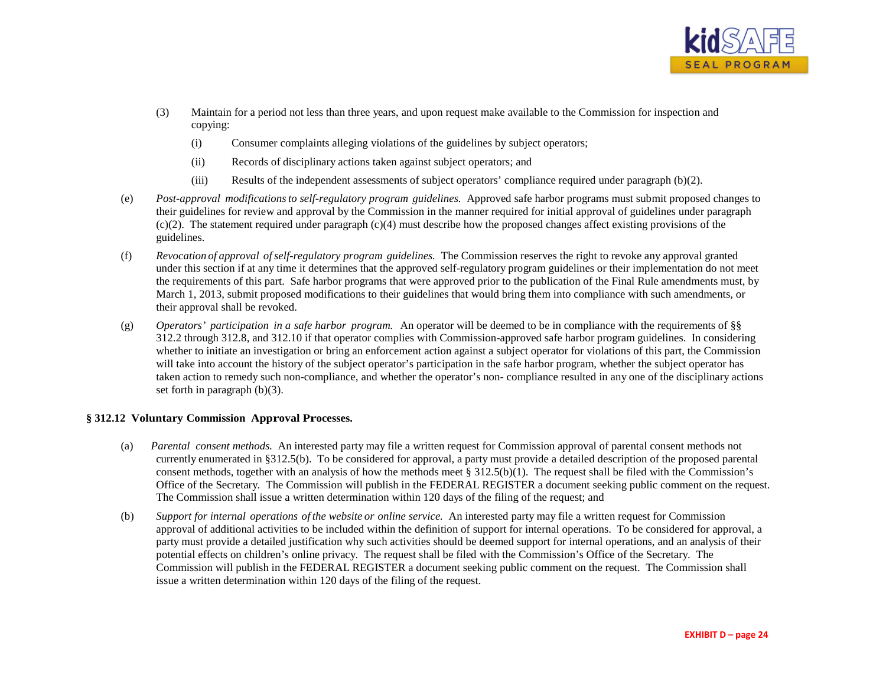

- (3) Maintain for a period not less than three years, and upon request make available to the Commission for inspection and copying:
	- (i) Consumer complaints alleging violations of the guidelines by subject operators;
	- (ii) Records of disciplinary actions taken against subject operators; and
	- (iii) Results of the independent assessments of subject operators' compliance required under paragraph (b)(2).
- (e) *Post-approval modificationsto self-regulatory program guidelines.* Approved safe harbor programs must submit proposed changes to their guidelines for review and approval by the Commission in the manner required for initial approval of guidelines under paragraph  $(c)(2)$ . The statement required under paragraph  $(c)(4)$  must describe how the proposed changes affect existing provisions of the guidelines.
- (f) *Revocation of approval ofself-regulatory program guidelines.* The Commission reserves the right to revoke any approval granted under this section if at any time it determines that the approved self-regulatory program guidelines or their implementation do not meet the requirements of this part. Safe harbor programs that were approved prior to the publication of the Final Rule amendments must, by March 1, 2013, submit proposed modifications to their guidelines that would bring them into compliance with such amendments, or their approval shall be revoked.
- (g) *Operators' participation in a safe harbor program.* An operator will be deemed to be in compliance with the requirements of §§ 312.2 through 312.8, and 312.10 if that operator complies with Commission-approved safe harbor program guidelines. In considering whether to initiate an investigation or bring an enforcement action against a subject operator for violations of this part, the Commission will take into account the history of the subject operator's participation in the safe harbor program, whether the subject operator has taken action to remedy such non-compliance, and whether the operator's non- compliance resulted in any one of the disciplinary actions set forth in paragraph (b)(3).

### **§ 312.12 Voluntary Commission Approval Processes.**

- (a) *Parental consent methods.* An interested party may file a written request for Commission approval of parental consent methods not currently enumerated in §312.5(b). To be considered for approval, a party must provide a detailed description of the proposed parental consent methods, together with an analysis of how the methods meet  $\S 312.5(b)(1)$ . The request shall be filed with the Commission's Office of the Secretary. The Commission will publish in the FEDERAL REGISTER a document seeking public comment on the request. The Commission shall issue a written determination within 120 days of the filing of the request; and
- (b) *Support for internal operations of the website or online service.* An interested party may file a written request for Commission approval of additional activities to be included within the definition of support for internal operations. To be considered for approval, a party must provide a detailed justification why such activities should be deemed support for internal operations, and an analysis of their potential effects on children's online privacy. The request shall be filed with the Commission's Office of the Secretary. The Commission will publish in the FEDERAL REGISTER a document seeking public comment on the request. The Commission shall issue a written determination within 120 days of the filing of the request.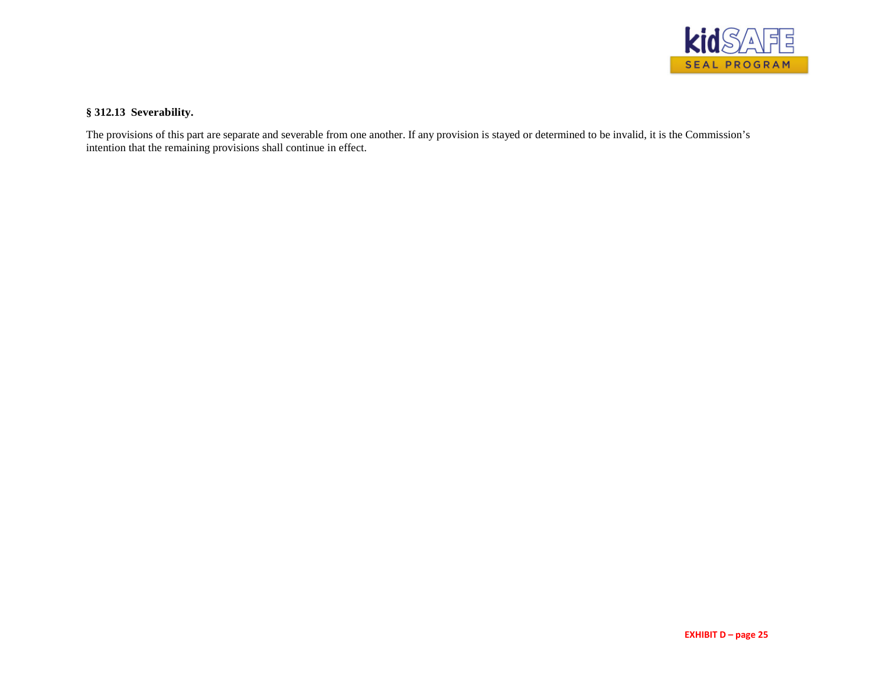

### **§ 312.13 Severability.**

The provisions of this part are separate and severable from one another. If any provision is stayed or determined to be invalid, it is the Commission's intention that the remaining provisions shall continue in effect.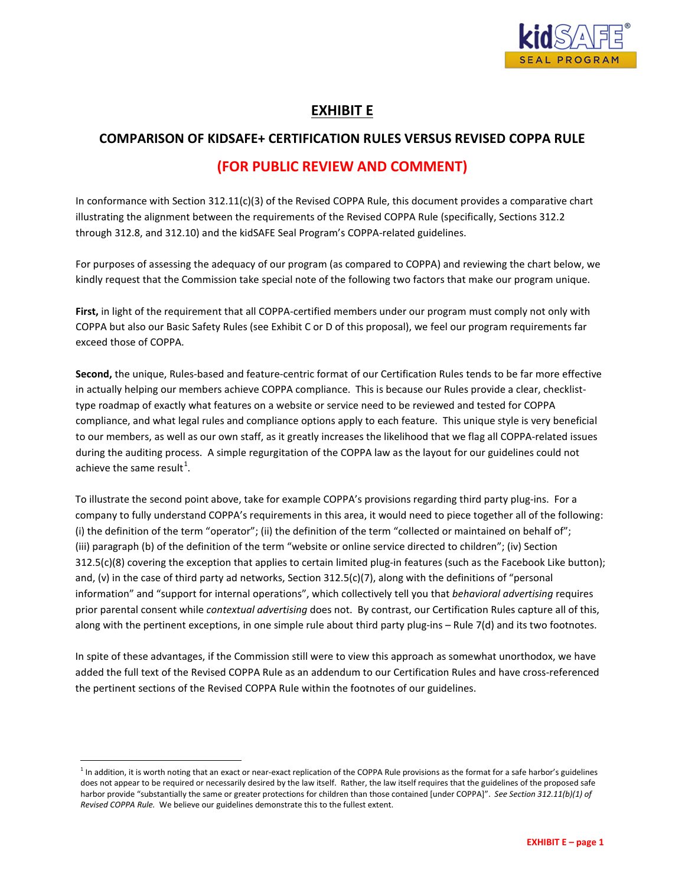

## **EXHIBIT E**

## **COMPARISON OF KIDSAFE+ CERTIFICATION RULES VERSUS REVISED COPPA RULE**

## **(FOR PUBLIC REVIEW AND COMMENT)**

In conformance with Section 312.11(c)(3) of the Revised COPPA Rule, this document provides a comparative chart illustrating the alignment between the requirements of the Revised COPPA Rule (specifically, Sections 312.2 through 312.8, and 312.10) and the kidSAFE Seal Program's COPPA-related guidelines.

For purposes of assessing the adequacy of our program (as compared to COPPA) and reviewing the chart below, we kindly request that the Commission take special note of the following two factors that make our program unique.

**First,** in light of the requirement that all COPPA-certified members under our program must comply not only with COPPA but also our Basic Safety Rules (see Exhibit C or D of this proposal), we feel our program requirements far exceed those of COPPA.

**Second,** the unique, Rules-based and feature-centric format of our Certification Rules tends to be far more effective in actually helping our members achieve COPPA compliance. This is because our Rules provide a clear, checklisttype roadmap of exactly what features on a website or service need to be reviewed and tested for COPPA compliance, and what legal rules and compliance options apply to each feature. This unique style is very beneficial to our members, as well as our own staff, as it greatly increases the likelihood that we flag all COPPA-related issues during the auditing process. A simple regurgitation of the COPPA law as the layout for our guidelines could not achieve the same result<sup>[1](#page-29-0)</sup>.

To illustrate the second point above, take for example COPPA's provisions regarding third party plug-ins. For a company to fully understand COPPA's requirements in this area, it would need to piece together all of the following: (i) the definition of the term "operator"; (ii) the definition of the term "collected or maintained on behalf of"; (iii) paragraph (b) of the definition of the term "website or online service directed to children"; (iv) Section  $312.5(c)(8)$  covering the exception that applies to certain limited plug-in features (such as the Facebook Like button); and, (v) in the case of third party ad networks, Section 312.5(c)(7), along with the definitions of "personal information" and "support for internal operations", which collectively tell you that *behavioral advertising* requires prior parental consent while *contextual advertising* does not. By contrast, our Certification Rules capture all of this, along with the pertinent exceptions, in one simple rule about third party plug-ins – Rule 7(d) and its two footnotes.

In spite of these advantages, if the Commission still were to view this approach as somewhat unorthodox, we have added the full text of the Revised COPPA Rule as an addendum to our Certification Rules and have cross-referenced the pertinent sections of the Revised COPPA Rule within the footnotes of our guidelines.

<span id="page-29-0"></span> $1$  In addition, it is worth noting that an exact or near-exact replication of the COPPA Rule provisions as the format for a safe harbor's guidelines does not appear to be required or necessarily desired by the law itself. Rather, the law itself requires that the guidelines of the proposed safe harbor provide "substantially the same or greater protections for children than those contained [under COPPA]". *See Section 312.11(b)(1) of Revised COPPA Rule.* We believe our guidelines demonstrate this to the fullest extent.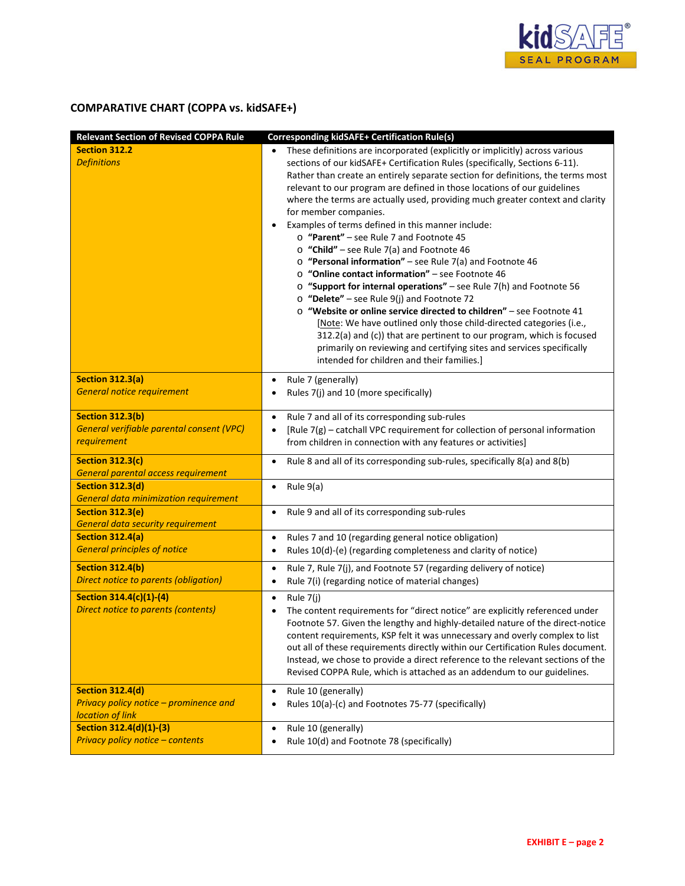

## **COMPARATIVE CHART (COPPA vs. kidSAFE+)**

| <b>Relevant Section of Revised COPPA Rule</b>                                         | <b>Corresponding kidSAFE+ Certification Rule(s)</b>                                                                                                                                                                                                                                                                                                                                                                                                                                                                                                                                                                                                                                                                                                                                                                                                                                                                                                                                                                                                                                                                                                                                         |
|---------------------------------------------------------------------------------------|---------------------------------------------------------------------------------------------------------------------------------------------------------------------------------------------------------------------------------------------------------------------------------------------------------------------------------------------------------------------------------------------------------------------------------------------------------------------------------------------------------------------------------------------------------------------------------------------------------------------------------------------------------------------------------------------------------------------------------------------------------------------------------------------------------------------------------------------------------------------------------------------------------------------------------------------------------------------------------------------------------------------------------------------------------------------------------------------------------------------------------------------------------------------------------------------|
| <b>Section 312.2</b><br><b>Definitions</b>                                            | These definitions are incorporated (explicitly or implicitly) across various<br>sections of our kidSAFE+ Certification Rules (specifically, Sections 6-11).<br>Rather than create an entirely separate section for definitions, the terms most<br>relevant to our program are defined in those locations of our guidelines<br>where the terms are actually used, providing much greater context and clarity<br>for member companies.<br>Examples of terms defined in this manner include:<br>o "Parent" - see Rule 7 and Footnote 45<br>$\circ$ "Child" – see Rule 7(a) and Footnote 46<br>$\circ$ "Personal information" – see Rule 7(a) and Footnote 46<br>"Online contact information" - see Footnote 46<br>$\circ$ "Support for internal operations" – see Rule 7(h) and Footnote 56<br>$\circ$ "Delete" – see Rule 9(j) and Footnote 72<br>o "Website or online service directed to children" - see Footnote 41<br>[Note: We have outlined only those child-directed categories (i.e.,<br>312.2(a) and (c)) that are pertinent to our program, which is focused<br>primarily on reviewing and certifying sites and services specifically<br>intended for children and their families.] |
| <b>Section 312.3(a)</b><br><b>General notice requirement</b>                          | Rule 7 (generally)<br>$\bullet$<br>Rules 7(j) and 10 (more specifically)                                                                                                                                                                                                                                                                                                                                                                                                                                                                                                                                                                                                                                                                                                                                                                                                                                                                                                                                                                                                                                                                                                                    |
| <b>Section 312.3(b)</b><br>General verifiable parental consent (VPC)<br>requirement   | Rule 7 and all of its corresponding sub-rules<br>[Rule 7(g) - catchall VPC requirement for collection of personal information<br>from children in connection with any features or activities]                                                                                                                                                                                                                                                                                                                                                                                                                                                                                                                                                                                                                                                                                                                                                                                                                                                                                                                                                                                               |
| <b>Section 312.3(c)</b><br>General parental access requirement                        | Rule 8 and all of its corresponding sub-rules, specifically 8(a) and 8(b)                                                                                                                                                                                                                                                                                                                                                                                                                                                                                                                                                                                                                                                                                                                                                                                                                                                                                                                                                                                                                                                                                                                   |
| <b>Section 312.3(d)</b><br><b>General data minimization requirement</b>               | Rule 9(a)<br>٠                                                                                                                                                                                                                                                                                                                                                                                                                                                                                                                                                                                                                                                                                                                                                                                                                                                                                                                                                                                                                                                                                                                                                                              |
| <b>Section 312.3(e)</b><br><b>General data security requirement</b>                   | Rule 9 and all of its corresponding sub-rules                                                                                                                                                                                                                                                                                                                                                                                                                                                                                                                                                                                                                                                                                                                                                                                                                                                                                                                                                                                                                                                                                                                                               |
| <b>Section 312.4(a)</b><br><b>General principles of notice</b>                        | Rules 7 and 10 (regarding general notice obligation)<br>٠<br>Rules 10(d)-(e) (regarding completeness and clarity of notice)                                                                                                                                                                                                                                                                                                                                                                                                                                                                                                                                                                                                                                                                                                                                                                                                                                                                                                                                                                                                                                                                 |
| <b>Section 312.4(b)</b><br>Direct notice to parents (obligation)                      | Rule 7, Rule 7(j), and Footnote 57 (regarding delivery of notice)<br>$\bullet$<br>Rule 7(i) (regarding notice of material changes)<br>$\bullet$                                                                                                                                                                                                                                                                                                                                                                                                                                                                                                                                                                                                                                                                                                                                                                                                                                                                                                                                                                                                                                             |
| Section 314.4(c)(1)-(4)<br>Direct notice to parents (contents)                        | Rule 7(j)<br>$\bullet$<br>The content requirements for "direct notice" are explicitly referenced under<br>Footnote 57. Given the lengthy and highly-detailed nature of the direct-notice<br>content requirements, KSP felt it was unnecessary and overly complex to list<br>out all of these requirements directly within our Certification Rules document.<br>Instead, we chose to provide a direct reference to the relevant sections of the<br>Revised COPPA Rule, which is attached as an addendum to our guidelines.                                                                                                                                                                                                                                                                                                                                                                                                                                                                                                                                                                                                                                                                   |
| <b>Section 312.4(d)</b><br>Privacy policy notice - prominence and<br>location of link | Rule 10 (generally)<br>٠<br>Rules 10(a)-(c) and Footnotes 75-77 (specifically)                                                                                                                                                                                                                                                                                                                                                                                                                                                                                                                                                                                                                                                                                                                                                                                                                                                                                                                                                                                                                                                                                                              |
| Section 312.4(d)(1)-(3)<br>Privacy policy notice - contents                           | Rule 10 (generally)<br>$\bullet$<br>Rule 10(d) and Footnote 78 (specifically)                                                                                                                                                                                                                                                                                                                                                                                                                                                                                                                                                                                                                                                                                                                                                                                                                                                                                                                                                                                                                                                                                                               |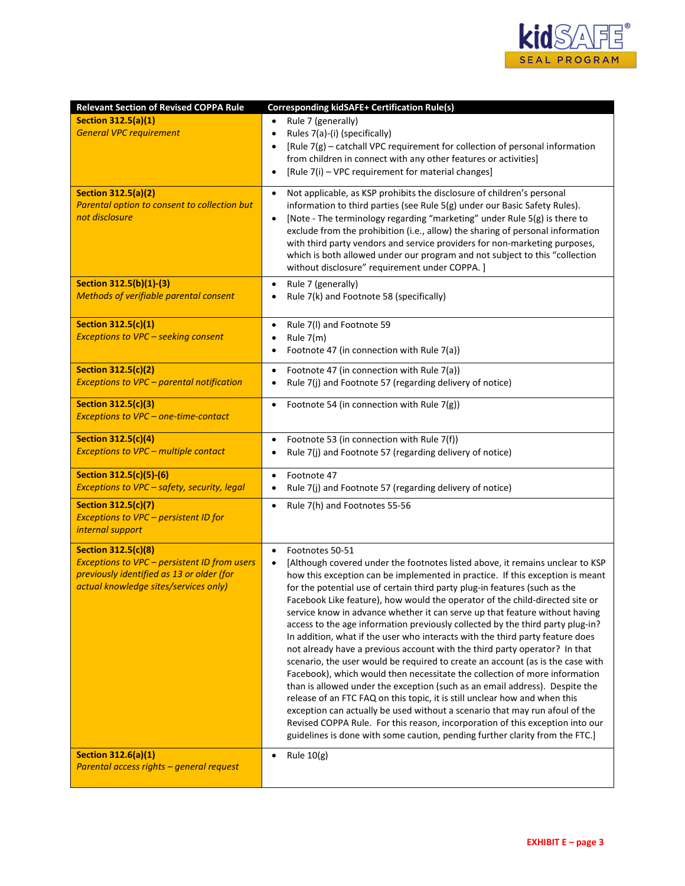

| <b>Relevant Section of Revised COPPA Rule</b>                                                                                                                    | <b>Corresponding kidSAFE+ Certification Rule(s)</b>                                                                                                                                                                                                                                                                                                                                                                                                                                                                                                                                                                                                                                                                                                                                                                                                                                                                                                                                                                                                                                                                                                                                                                                                                       |
|------------------------------------------------------------------------------------------------------------------------------------------------------------------|---------------------------------------------------------------------------------------------------------------------------------------------------------------------------------------------------------------------------------------------------------------------------------------------------------------------------------------------------------------------------------------------------------------------------------------------------------------------------------------------------------------------------------------------------------------------------------------------------------------------------------------------------------------------------------------------------------------------------------------------------------------------------------------------------------------------------------------------------------------------------------------------------------------------------------------------------------------------------------------------------------------------------------------------------------------------------------------------------------------------------------------------------------------------------------------------------------------------------------------------------------------------------|
| <b>Section 312.5(a)(1)</b><br><b>General VPC requirement</b>                                                                                                     | Rule 7 (generally)<br>Rules 7(a)-(i) (specifically)<br>$\bullet$<br>[Rule 7(g) - catchall VPC requirement for collection of personal information<br>from children in connect with any other features or activities]<br>[Rule 7(i) - VPC requirement for material changes]                                                                                                                                                                                                                                                                                                                                                                                                                                                                                                                                                                                                                                                                                                                                                                                                                                                                                                                                                                                                 |
| <b>Section 312.5(a)(2)</b><br>Parental option to consent to collection but<br>not disclosure                                                                     | Not applicable, as KSP prohibits the disclosure of children's personal<br>information to third parties (see Rule 5(g) under our Basic Safety Rules).<br>[Note - The terminology regarding "marketing" under Rule 5(g) is there to<br>$\bullet$<br>exclude from the prohibition (i.e., allow) the sharing of personal information<br>with third party vendors and service providers for non-marketing purposes,<br>which is both allowed under our program and not subject to this "collection<br>without disclosure" requirement under COPPA.]                                                                                                                                                                                                                                                                                                                                                                                                                                                                                                                                                                                                                                                                                                                            |
| Section 312.5(b)(1)-(3)<br>Methods of verifiable parental consent                                                                                                | Rule 7 (generally)<br>٠<br>Rule 7(k) and Footnote 58 (specifically)                                                                                                                                                                                                                                                                                                                                                                                                                                                                                                                                                                                                                                                                                                                                                                                                                                                                                                                                                                                                                                                                                                                                                                                                       |
| <b>Section 312.5(c)(1)</b><br>Exceptions to VPC - seeking consent                                                                                                | Rule 7(I) and Footnote 59<br>$\bullet$<br>Rule 7(m)<br>Footnote 47 (in connection with Rule 7(a))                                                                                                                                                                                                                                                                                                                                                                                                                                                                                                                                                                                                                                                                                                                                                                                                                                                                                                                                                                                                                                                                                                                                                                         |
| <b>Section 312.5(c)(2)</b><br>Exceptions to VPC - parental notification                                                                                          | Footnote 47 (in connection with Rule 7(a))<br>$\bullet$<br>Rule 7(j) and Footnote 57 (regarding delivery of notice)                                                                                                                                                                                                                                                                                                                                                                                                                                                                                                                                                                                                                                                                                                                                                                                                                                                                                                                                                                                                                                                                                                                                                       |
| <b>Section 312.5(c)(3)</b><br>Exceptions to VPC - one-time-contact                                                                                               | Footnote 54 (in connection with Rule 7(g))                                                                                                                                                                                                                                                                                                                                                                                                                                                                                                                                                                                                                                                                                                                                                                                                                                                                                                                                                                                                                                                                                                                                                                                                                                |
| <b>Section 312.5(c)(4)</b><br>Exceptions to VPC - multiple contact                                                                                               | Footnote 53 (in connection with Rule 7(f))<br>$\bullet$<br>Rule 7(j) and Footnote 57 (regarding delivery of notice)                                                                                                                                                                                                                                                                                                                                                                                                                                                                                                                                                                                                                                                                                                                                                                                                                                                                                                                                                                                                                                                                                                                                                       |
| Section 312.5(c)(5)-(6)<br>Exceptions to VPC - safety, security, legal                                                                                           | Footnote 47<br>Rule 7(j) and Footnote 57 (regarding delivery of notice)                                                                                                                                                                                                                                                                                                                                                                                                                                                                                                                                                                                                                                                                                                                                                                                                                                                                                                                                                                                                                                                                                                                                                                                                   |
| <b>Section 312.5(c)(7)</b><br>Exceptions to VPC - persistent ID for<br>internal support                                                                          | Rule 7(h) and Footnotes 55-56                                                                                                                                                                                                                                                                                                                                                                                                                                                                                                                                                                                                                                                                                                                                                                                                                                                                                                                                                                                                                                                                                                                                                                                                                                             |
| <b>Section 312.5(c)(8)</b><br>Exceptions to VPC - persistent ID from users<br>previously identified as 13 or older (for<br>actual knowledge sites/services only) | Footnotes 50-51<br>[Although covered under the footnotes listed above, it remains unclear to KSP<br>$\bullet$<br>how this exception can be implemented in practice. If this exception is meant<br>for the potential use of certain third party plug-in features (such as the<br>Facebook Like feature), how would the operator of the child-directed site or<br>service know in advance whether it can serve up that feature without having<br>access to the age information previously collected by the third party plug-in?<br>In addition, what if the user who interacts with the third party feature does<br>not already have a previous account with the third party operator? In that<br>scenario, the user would be required to create an account (as is the case with<br>Facebook), which would then necessitate the collection of more information<br>than is allowed under the exception (such as an email address). Despite the<br>release of an FTC FAQ on this topic, it is still unclear how and when this<br>exception can actually be used without a scenario that may run afoul of the<br>Revised COPPA Rule. For this reason, incorporation of this exception into our<br>guidelines is done with some caution, pending further clarity from the FTC.] |
| <b>Section 312.6(a)(1)</b><br>Parental access rights - general request                                                                                           | Rule $10(g)$<br>$\bullet$                                                                                                                                                                                                                                                                                                                                                                                                                                                                                                                                                                                                                                                                                                                                                                                                                                                                                                                                                                                                                                                                                                                                                                                                                                                 |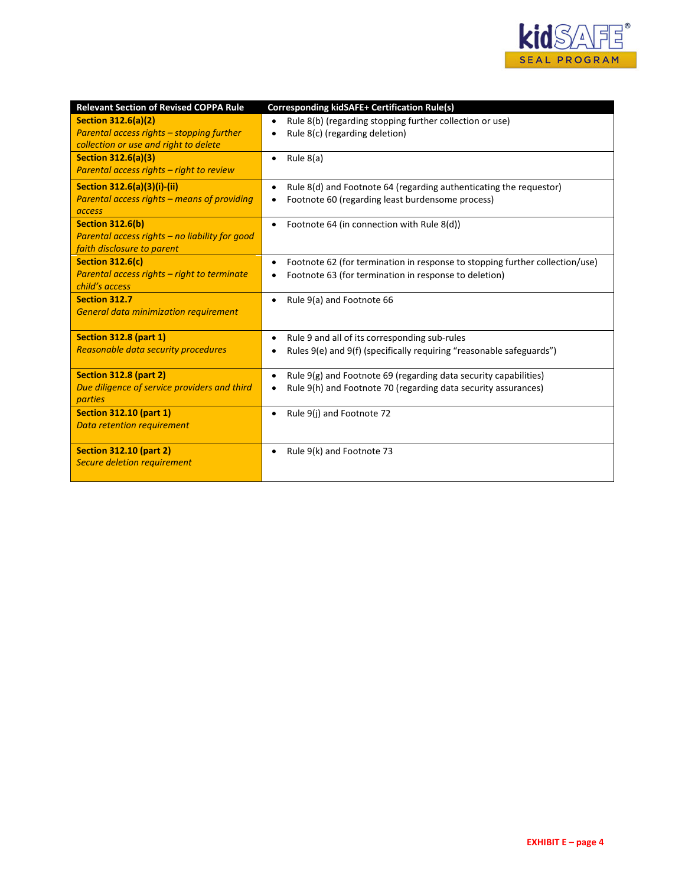

| <b>Relevant Section of Revised COPPA Rule</b>  | <b>Corresponding kidSAFE+ Certification Rule(s)</b>                          |
|------------------------------------------------|------------------------------------------------------------------------------|
| <b>Section 312.6(a)(2)</b>                     | Rule 8(b) (regarding stopping further collection or use)                     |
| Parental access rights - stopping further      | Rule 8(c) (regarding deletion)                                               |
| collection or use and right to delete          |                                                                              |
| <b>Section 312.6(a)(3)</b>                     | Rule $8(a)$                                                                  |
| Parental access rights - right to review       |                                                                              |
| Section 312.6(a)(3)(i)-(ii)                    | Rule 8(d) and Footnote 64 (regarding authenticating the requestor)           |
| Parental access rights - means of providing    | Footnote 60 (regarding least burdensome process)                             |
| access                                         |                                                                              |
| <b>Section 312.6(b)</b>                        | Footnote 64 (in connection with Rule 8(d))<br>٠                              |
| Parental access rights - no liability for good |                                                                              |
| faith disclosure to parent                     |                                                                              |
| <b>Section 312.6(c)</b>                        | Footnote 62 (for termination in response to stopping further collection/use) |
| Parental access rights - right to terminate    | Footnote 63 (for termination in response to deletion)                        |
| child's access                                 |                                                                              |
| Section 312.7                                  | Rule 9(a) and Footnote 66                                                    |
| <b>General data minimization requirement</b>   |                                                                              |
| <b>Section 312.8 (part 1)</b>                  | Rule 9 and all of its corresponding sub-rules                                |
| Reasonable data security procedures            | Rules 9(e) and 9(f) (specifically requiring "reasonable safeguards")         |
|                                                |                                                                              |
| <b>Section 312.8 (part 2)</b>                  | Rule 9(g) and Footnote 69 (regarding data security capabilities)             |
| Due diligence of service providers and third   | Rule 9(h) and Footnote 70 (regarding data security assurances)               |
| parties                                        |                                                                              |
| <b>Section 312.10 (part 1)</b>                 | Rule 9(j) and Footnote 72                                                    |
| <b>Data retention requirement</b>              |                                                                              |
|                                                |                                                                              |
| <b>Section 312.10 (part 2)</b>                 | Rule 9(k) and Footnote 73                                                    |
| <b>Secure deletion requirement</b>             |                                                                              |
|                                                |                                                                              |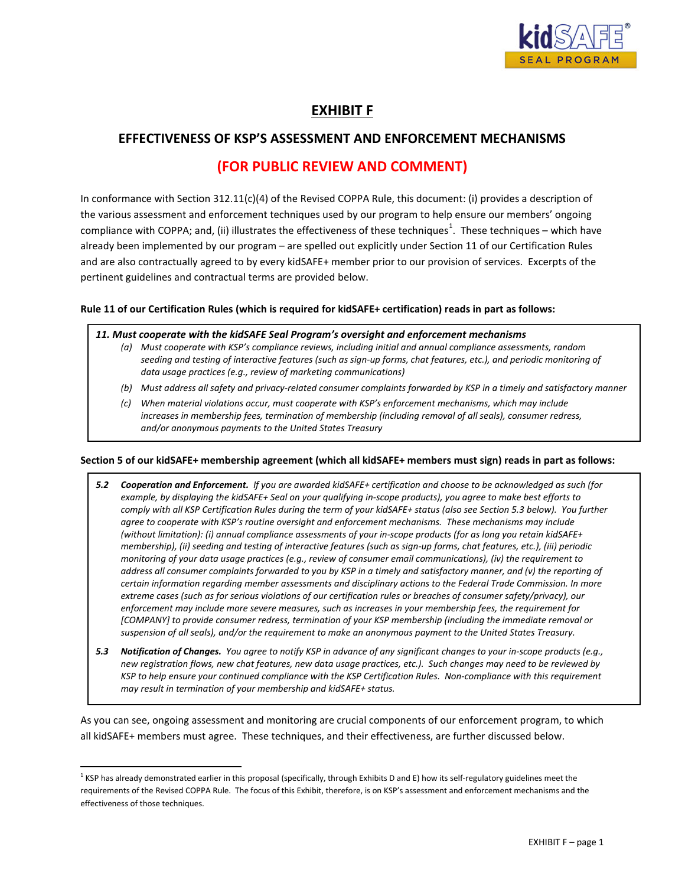

## **EXHIBIT F**

### **EFFECTIVENESS OF KSP'S ASSESSMENT AND ENFORCEMENT MECHANISMS**

## **(FOR PUBLIC REVIEW AND COMMENT)**

In conformance with Section 312.11(c)(4) of the Revised COPPA Rule, this document: (i) provides a description of the various assessment and enforcement techniques used by our program to help ensure our members' ongoing compliance with COPPA; and, (ii) illustrates the effectiveness of these techniques $^1$  $^1$ . These techniques – which have already been implemented by our program – are spelled out explicitly under Section 11 of our Certification Rules and are also contractually agreed to by every kidSAFE+ member prior to our provision of services. Excerpts of the pertinent guidelines and contractual terms are provided below.

### **Rule 11 of our Certification Rules (which is required for kidSAFE+ certification) reads in part as follows:**

- *11. Must cooperate with the kidSAFE Seal Program's oversight and enforcement mechanisms*
	- *(a) Must cooperate with KSP's compliance reviews, including initial and annual compliance assessments, random seeding and testing of interactive features (such as sign-up forms, chat features, etc.), and periodic monitoring of data usage practices (e.g., review of marketing communications)*
	- *(b) Must address all safety and privacy-related consumer complaints forwarded by KSP in a timely and satisfactory manner*
	- *(c) When material violations occur, must cooperate with KSP's enforcement mechanisms, which may include increases in membership fees, termination of membership (including removal of all seals), consumer redress, and/or anonymous payments to the United States Treasury*

### **Section 5 of our kidSAFE+ membership agreement (which all kidSAFE+ members must sign) reads in part as follows:**

- *5.2 Cooperation and Enforcement. If you are awarded kidSAFE+ certification and choose to be acknowledged as such (for example, by displaying the kidSAFE+ Seal on your qualifying in-scope products), you agree to make best efforts to comply with all KSP Certification Rules during the term of your kidSAFE+ status (also see Section 5.3 below). You further agree to cooperate with KSP's routine oversight and enforcement mechanisms. These mechanisms may include (without limitation): (i) annual compliance assessments of your in-scope products (for as long you retain kidSAFE+ membership), (ii) seeding and testing of interactive features (such as sign-up forms, chat features, etc.), (iii) periodic monitoring of your data usage practices (e.g., review of consumer email communications), (iv) the requirement to address all consumer complaints forwarded to you by KSP in a timely and satisfactory manner, and (v) the reporting of certain information regarding member assessments and disciplinary actions to the Federal Trade Commission. In more extreme cases (such as for serious violations of our certification rules or breaches of consumer safety/privacy), our enforcement may include more severe measures, such as increases in your membership fees, the requirement for [COMPANY] to provide consumer redress, termination of your KSP membership (including the immediate removal or suspension of all seals), and/or the requirement to make an anonymous payment to the United States Treasury.*
- *5.3 Notification of Changes. You agree to notify KSP in advance of any significant changes to your in-scope products (e.g., new registration flows, new chat features, new data usage practices, etc.). Such changes may need to be reviewed by KSP to help ensure your continued compliance with the KSP Certification Rules. Non-compliance with this requirement may result in termination of your membership and kidSAFE+ status.*

As you can see, ongoing assessment and monitoring are crucial components of our enforcement program, to which all kidSAFE+ members must agree. These techniques, and their effectiveness, are further discussed below.

<span id="page-33-0"></span><sup>&</sup>lt;sup>1</sup> KSP has already demonstrated earlier in this proposal (specifically, through Exhibits D and E) how its self-regulatory guidelines meet the requirements of the Revised COPPA Rule. The focus of this Exhibit, therefore, is on KSP's assessment and enforcement mechanisms and the effectiveness of those techniques.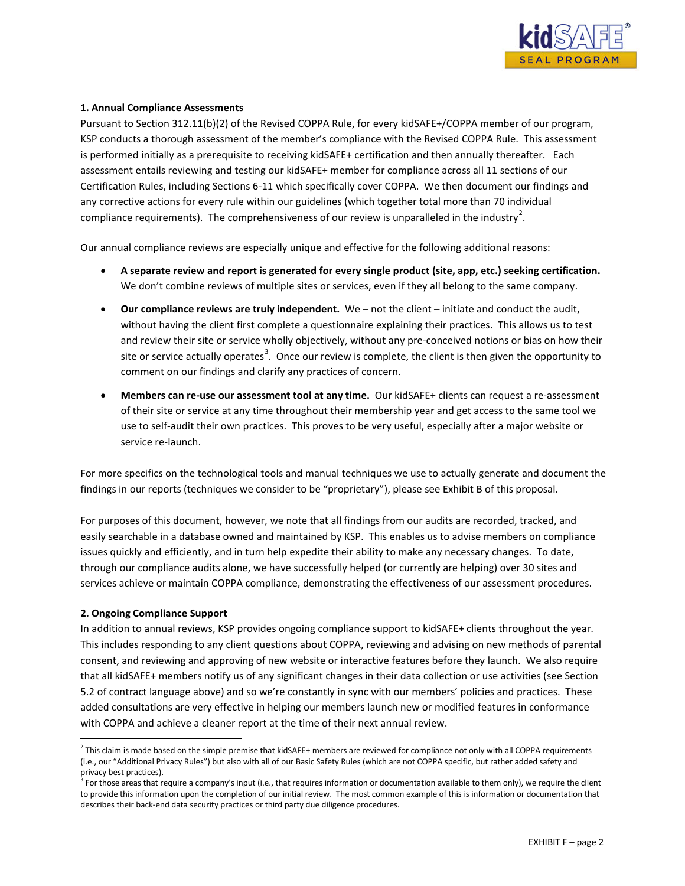

### **1. Annual Compliance Assessments**

Pursuant to Section 312.11(b)(2) of the Revised COPPA Rule, for every kidSAFE+/COPPA member of our program, KSP conducts a thorough assessment of the member's compliance with the Revised COPPA Rule. This assessment is performed initially as a prerequisite to receiving kidSAFE+ certification and then annually thereafter. Each assessment entails reviewing and testing our kidSAFE+ member for compliance across all 11 sections of our Certification Rules, including Sections 6-11 which specifically cover COPPA. We then document our findings and any corrective actions for every rule within our guidelines (which together total more than 70 individual compliance requirements). The comprehensiveness of our review is unparalleled in the industry<sup>[2](#page-34-0)</sup>.

Our annual compliance reviews are especially unique and effective for the following additional reasons:

- **A separate review and report is generated for every single product (site, app, etc.) seeking certification.** We don't combine reviews of multiple sites or services, even if they all belong to the same company.
- **Our compliance reviews are truly independent.** We not the client initiate and conduct the audit, without having the client first complete a questionnaire explaining their practices. This allows us to test and review their site or service wholly objectively, without any pre-conceived notions or bias on how their site or service actually operates<sup>[3](#page-34-1)</sup>. Once our review is complete, the client is then given the opportunity to comment on our findings and clarify any practices of concern.
- **Members can re-use our assessment tool at any time.** Our kidSAFE+ clients can request a re-assessment of their site or service at any time throughout their membership year and get access to the same tool we use to self-audit their own practices. This proves to be very useful, especially after a major website or service re-launch.

For more specifics on the technological tools and manual techniques we use to actually generate and document the findings in our reports (techniques we consider to be "proprietary"), please see Exhibit B of this proposal.

For purposes of this document, however, we note that all findings from our audits are recorded, tracked, and easily searchable in a database owned and maintained by KSP. This enables us to advise members on compliance issues quickly and efficiently, and in turn help expedite their ability to make any necessary changes. To date, through our compliance audits alone, we have successfully helped (or currently are helping) over 30 sites and services achieve or maintain COPPA compliance, demonstrating the effectiveness of our assessment procedures.

### **2. Ongoing Compliance Support**

In addition to annual reviews, KSP provides ongoing compliance support to kidSAFE+ clients throughout the year. This includes responding to any client questions about COPPA, reviewing and advising on new methods of parental consent, and reviewing and approving of new website or interactive features before they launch. We also require that all kidSAFE+ members notify us of any significant changes in their data collection or use activities (see Section 5.2 of contract language above) and so we're constantly in sync with our members' policies and practices. These added consultations are very effective in helping our members launch new or modified features in conformance with COPPA and achieve a cleaner report at the time of their next annual review.

<span id="page-34-0"></span> $<sup>2</sup>$  This claim is made based on the simple premise that kidSAFE+ members are reviewed for compliance not only with all COPPA requirements</sup> (i.e., our "Additional Privacy Rules") but also with all of our Basic Safety Rules (which are not COPPA specific, but rather added safety and privacy best practices).

<span id="page-34-1"></span> $3$  For those areas that require a company's input (i.e., that requires information or documentation available to them only), we require the client to provide this information upon the completion of our initial review. The most common example of this is information or documentation that describes their back-end data security practices or third party due diligence procedures.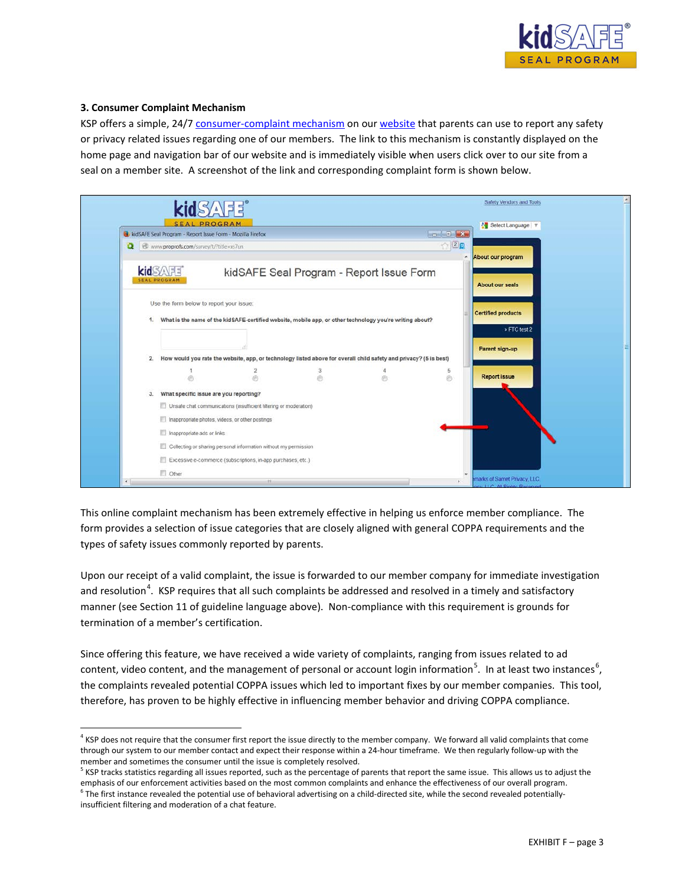

### **3. Consumer Complaint Mechanism**

KSP offers a simple, 24/7 [consumer-complaint mechanism](http://www.proprofs.com/survey/t/?title=xs7un) on ou[r website](http://www.kidsafeseal.com/) that parents can use to report any safety or privacy related issues regarding one of our members. The link to this mechanism is constantly displayed on the home page and navigation bar of our website and is immediately visible when users click over to our site from a seal on a member site. A screenshot of the link and corresponding complaint form is shown below.

|    |                                                                   |                                                                  |                       |                                                                                                                   |                                   | Safety Vendors and Tools  |  |
|----|-------------------------------------------------------------------|------------------------------------------------------------------|-----------------------|-------------------------------------------------------------------------------------------------------------------|-----------------------------------|---------------------------|--|
|    | <b>SEAL PROGRAM</b>                                               |                                                                  |                       |                                                                                                                   |                                   | Select Language \\w       |  |
|    | d kidSAFE Seal Program - Report Issue Form - Mozilla Firefox      |                                                                  |                       |                                                                                                                   | <b>10 XX</b><br>$\left( 2\right)$ |                           |  |
| o. | www.proprofs.com/survey/t/?title=xs7un                            |                                                                  |                       |                                                                                                                   | ٠                                 | About our program         |  |
|    |                                                                   |                                                                  |                       |                                                                                                                   |                                   |                           |  |
|    | <b>kid SAFE</b>                                                   |                                                                  |                       | kidSAFE Seal Program - Report Issue Form                                                                          |                                   |                           |  |
|    |                                                                   |                                                                  |                       |                                                                                                                   |                                   | <b>About our seals</b>    |  |
|    | Use the form below to report your issue:                          |                                                                  |                       |                                                                                                                   |                                   |                           |  |
|    |                                                                   |                                                                  |                       |                                                                                                                   |                                   | <b>Certified products</b> |  |
|    | $\mathbf{1}$                                                      |                                                                  |                       | What is the name of the kidSAFE-certified website, mobile app, or other technology you're writing about?          |                                   | » FTC test 2              |  |
|    |                                                                   |                                                                  |                       |                                                                                                                   |                                   |                           |  |
|    |                                                                   |                                                                  |                       |                                                                                                                   |                                   | Parent sign-up            |  |
|    | 2.                                                                |                                                                  |                       | How would you rate the website, app, or technology listed above for overall child safety and privacy? (5 is best) |                                   |                           |  |
|    |                                                                   | $\overline{\mathbf{2}}$<br>$\circledcirc$                        | $\boldsymbol{3}$<br>ö | ė.                                                                                                                | 5<br>Ò                            | <b>Report issue</b>       |  |
|    |                                                                   |                                                                  |                       |                                                                                                                   |                                   |                           |  |
|    | What specific issue are you reporting?<br>3.                      |                                                                  |                       |                                                                                                                   |                                   |                           |  |
|    | Unsafe chat communications (insufficient filtering or moderation) |                                                                  |                       |                                                                                                                   |                                   |                           |  |
|    | Inappropriate photos, videos, or other postings                   |                                                                  |                       |                                                                                                                   |                                   |                           |  |
|    | Inappropriate ads or links                                        |                                                                  |                       |                                                                                                                   |                                   |                           |  |
|    |                                                                   | Collecting or sharing personal information without my permission |                       |                                                                                                                   |                                   |                           |  |
|    |                                                                   | Excessive e-commerce (subscriptions, in-app purchases, etc.)     |                       |                                                                                                                   |                                   |                           |  |
|    |                                                                   |                                                                  |                       |                                                                                                                   |                                   |                           |  |

This online complaint mechanism has been extremely effective in helping us enforce member compliance. The form provides a selection of issue categories that are closely aligned with general COPPA requirements and the types of safety issues commonly reported by parents.

Upon our receipt of a valid complaint, the issue is forwarded to our member company for immediate investigation and resolution<sup>[4](#page-35-0)</sup>. KSP requires that all such complaints be addressed and resolved in a timely and satisfactory manner (see Section 11 of guideline language above). Non-compliance with this requirement is grounds for termination of a member's certification.

Since offering this feature, we have received a wide variety of complaints, ranging from issues related to ad content, video content, and the management of personal or account login information<sup>[5](#page-35-1)</sup>. In at least two instances<sup>[6](#page-35-2)</sup>, the complaints revealed potential COPPA issues which led to important fixes by our member companies. This tool, therefore, has proven to be highly effective in influencing member behavior and driving COPPA compliance.

<span id="page-35-0"></span><sup>&</sup>lt;sup>4</sup> KSP does not require that the consumer first report the issue directly to the member company. We forward all valid complaints that come through our system to our member contact and expect their response within a 24-hour timeframe. We then regularly follow-up with the

<span id="page-35-1"></span>member and sometimes the consumer until the issue is completely resolved.<br><sup>5</sup> KSP tracks statistics regarding all issues reported, such as the percentage of parents that report the same issue. This allows us to adjust the emphasis of our enforcement activities based on the most common complaints and enhance the effectiveness of our overall program.<br><sup>6</sup> The first instance revealed the potential use of behavioral advertising on a child-direct

<span id="page-35-2"></span>insufficient filtering and moderation of a chat feature.